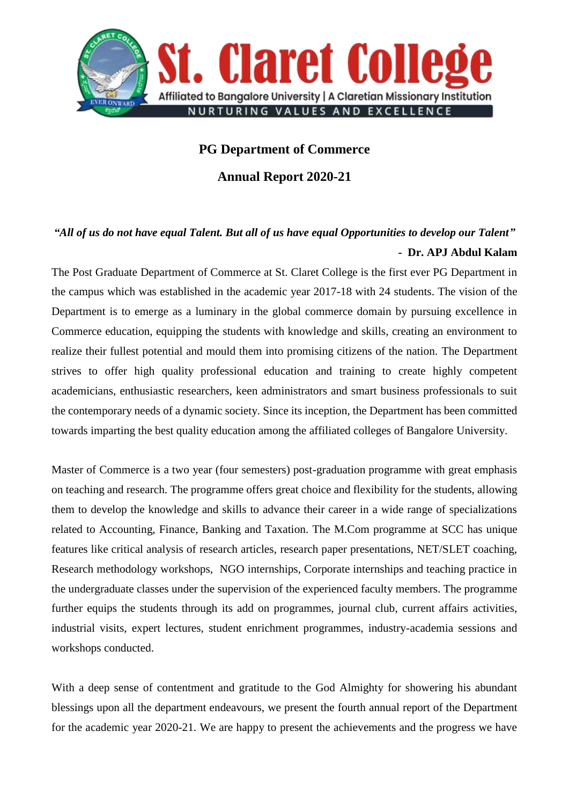

## **PG Department of Commerce**

**Annual Report 2020-21**

## *"All of us do not have equal Talent. But all of us have equal Opportunities to develop our Talent"* **- Dr. APJ Abdul Kalam**

The Post Graduate Department of Commerce at St. Claret College is the first ever PG Department in the campus which was established in the academic year 2017-18 with 24 students. The vision of the Department is to emerge as a luminary in the global commerce domain by pursuing excellence in Commerce education, equipping the students with knowledge and skills, creating an environment to realize their fullest potential and mould them into promising citizens of the nation. The Department strives to offer high quality professional education and training to create highly competent academicians, enthusiastic researchers, keen administrators and smart business professionals to suit the contemporary needs of a dynamic society. Since its inception, the Department has been committed towards imparting the best quality education among the affiliated colleges of Bangalore University.

Master of Commerce is a two year (four semesters) post-graduation programme with great emphasis on teaching and research. The programme offers great choice and flexibility for the students, allowing them to develop the knowledge and skills to advance their career in a wide range of specializations related to Accounting, Finance, Banking and Taxation. The M.Com programme at SCC has unique features like critical analysis of research articles, research paper presentations, NET/SLET coaching, Research methodology workshops, NGO internships, Corporate internships and teaching practice in the undergraduate classes under the supervision of the experienced faculty members. The programme further equips the students through its add on programmes, journal club, current affairs activities, industrial visits, expert lectures, student enrichment programmes, industry-academia sessions and workshops conducted.

With a deep sense of contentment and gratitude to the God Almighty for showering his abundant blessings upon all the department endeavours, we present the fourth annual report of the Department for the academic year 2020-21. We are happy to present the achievements and the progress we have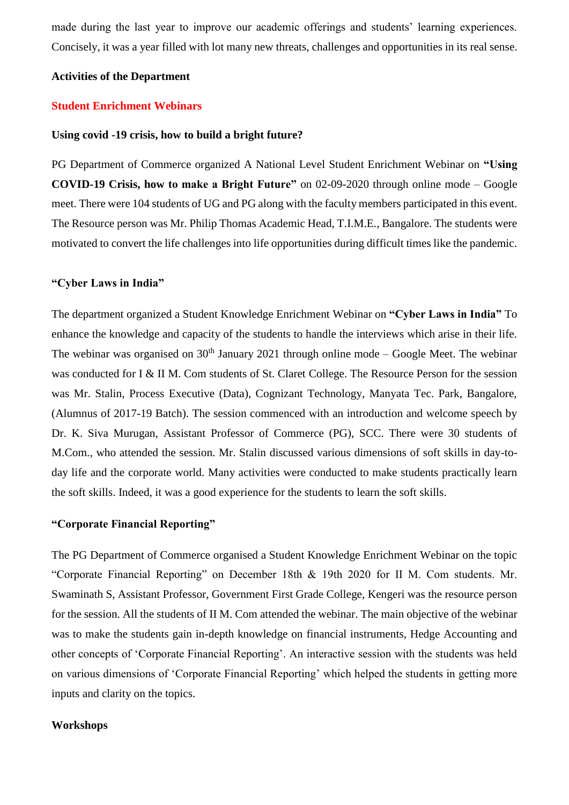made during the last year to improve our academic offerings and students' learning experiences. Concisely, it was a year filled with lot many new threats, challenges and opportunities in its real sense.

#### **Activities of the Department**

#### **Student Enrichment Webinars**

#### **Using covid -19 crisis, how to build a bright future?**

PG Department of Commerce organized A National Level Student Enrichment Webinar on **"Using COVID-19 Crisis, how to make a Bright Future"** on 02-09-2020 through online mode – Google meet. There were 104 students of UG and PG along with the faculty members participated in this event. The Resource person was Mr. Philip Thomas Academic Head, T.I.M.E., Bangalore. The students were motivated to convert the life challenges into life opportunities during difficult times like the pandemic.

### **"Cyber Laws in India"**

The department organized a Student Knowledge Enrichment Webinar on **"Cyber Laws in India"** To enhance the knowledge and capacity of the students to handle the interviews which arise in their life. The webinar was organised on  $30<sup>th</sup>$  January 2021 through online mode – Google Meet. The webinar was conducted for I & II M. Com students of St. Claret College. The Resource Person for the session was Mr. Stalin, Process Executive (Data), Cognizant Technology, Manyata Tec. Park, Bangalore, (Alumnus of 2017-19 Batch). The session commenced with an introduction and welcome speech by Dr. K. Siva Murugan, Assistant Professor of Commerce (PG), SCC. There were 30 students of M.Com., who attended the session. Mr. Stalin discussed various dimensions of soft skills in day-today life and the corporate world. Many activities were conducted to make students practically learn the soft skills. Indeed, it was a good experience for the students to learn the soft skills.

### **"Corporate Financial Reporting"**

The PG Department of Commerce organised a Student Knowledge Enrichment Webinar on the topic "Corporate Financial Reporting" on December 18th & 19th 2020 for II M. Com students. Mr. Swaminath S, Assistant Professor, Government First Grade College, Kengeri was the resource person for the session. All the students of II M. Com attended the webinar. The main objective of the webinar was to make the students gain in-depth knowledge on financial instruments, Hedge Accounting and other concepts of 'Corporate Financial Reporting'. An interactive session with the students was held on various dimensions of 'Corporate Financial Reporting' which helped the students in getting more inputs and clarity on the topics.

#### **Workshops**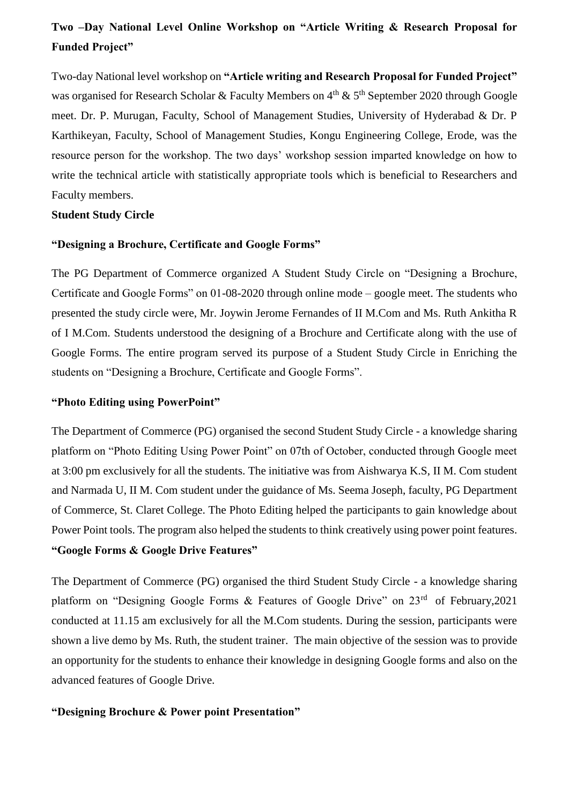# **Two –Day National Level Online Workshop on "Article Writing & Research Proposal for Funded Project"**

Two-day National level workshop on **"Article writing and Research Proposal for Funded Project"**  was organised for Research Scholar & Faculty Members on  $4<sup>th</sup>$  &  $5<sup>th</sup>$  September 2020 through Google meet. Dr. P. Murugan, Faculty, School of Management Studies, University of Hyderabad & Dr. P Karthikeyan, Faculty, School of Management Studies, Kongu Engineering College, Erode, was the resource person for the workshop. The two days' workshop session imparted knowledge on how to write the technical article with statistically appropriate tools which is beneficial to Researchers and Faculty members.

## **Student Study Circle**

### **"Designing a Brochure, Certificate and Google Forms"**

The PG Department of Commerce organized A Student Study Circle on "Designing a Brochure, Certificate and Google Forms" on 01-08-2020 through online mode – google meet. The students who presented the study circle were, Mr. Joywin Jerome Fernandes of II M.Com and Ms. Ruth Ankitha R of I M.Com. Students understood the designing of a Brochure and Certificate along with the use of Google Forms. The entire program served its purpose of a Student Study Circle in Enriching the students on "Designing a Brochure, Certificate and Google Forms".

### **"Photo Editing using PowerPoint"**

The Department of Commerce (PG) organised the second Student Study Circle - a knowledge sharing platform on "Photo Editing Using Power Point" on 07th of October, conducted through Google meet at 3:00 pm exclusively for all the students. The initiative was from Aishwarya K.S, II M. Com student and Narmada U, II M. Com student under the guidance of Ms. Seema Joseph, faculty, PG Department of Commerce, St. Claret College. The Photo Editing helped the participants to gain knowledge about Power Point tools. The program also helped the students to think creatively using power point features. **"Google Forms & Google Drive Features"**

The Department of Commerce (PG) organised the third Student Study Circle - a knowledge sharing platform on "Designing Google Forms & Features of Google Drive" on 23<sup>rd</sup> of February, 2021 conducted at 11.15 am exclusively for all the M.Com students. During the session, participants were shown a live demo by Ms. Ruth, the student trainer. The main objective of the session was to provide an opportunity for the students to enhance their knowledge in designing Google forms and also on the advanced features of Google Drive.

## **"Designing Brochure & Power point Presentation"**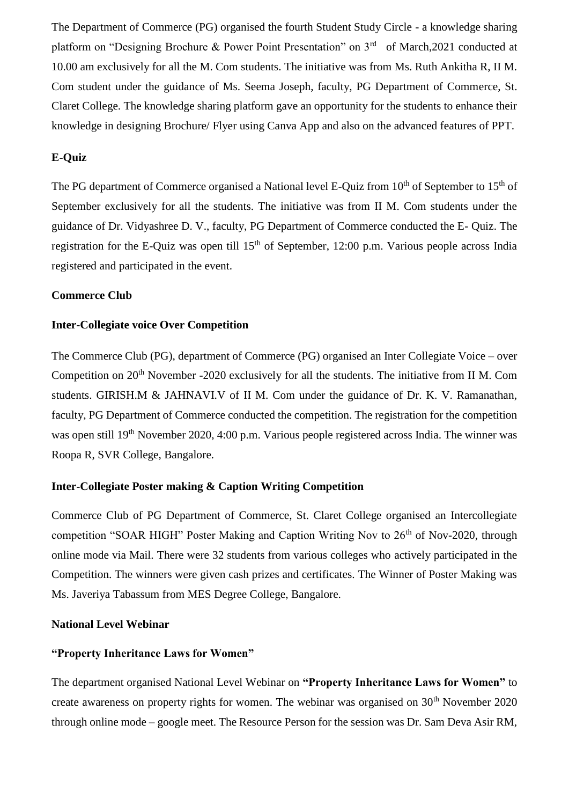The Department of Commerce (PG) organised the fourth Student Study Circle - a knowledge sharing platform on "Designing Brochure & Power Point Presentation" on 3<sup>rd</sup> of March, 2021 conducted at 10.00 am exclusively for all the M. Com students. The initiative was from Ms. Ruth Ankitha R, II M. Com student under the guidance of Ms. Seema Joseph, faculty, PG Department of Commerce, St. Claret College. The knowledge sharing platform gave an opportunity for the students to enhance their knowledge in designing Brochure/ Flyer using Canva App and also on the advanced features of PPT.

## **E-Quiz**

The PG department of Commerce organised a National level E-Quiz from 10<sup>th</sup> of September to 15<sup>th</sup> of September exclusively for all the students. The initiative was from II M. Com students under the guidance of Dr. Vidyashree D. V., faculty, PG Department of Commerce conducted the E- Quiz. The registration for the E-Quiz was open till 15<sup>th</sup> of September, 12:00 p.m. Various people across India registered and participated in the event.

#### **Commerce Club**

## **Inter-Collegiate voice Over Competition**

The Commerce Club (PG), department of Commerce (PG) organised an Inter Collegiate Voice – over Competition on 20<sup>th</sup> November -2020 exclusively for all the students. The initiative from II M. Com students. GIRISH.M & JAHNAVI.V of II M. Com under the guidance of Dr. K. V. Ramanathan, faculty, PG Department of Commerce conducted the competition. The registration for the competition was open still 19<sup>th</sup> November 2020, 4:00 p.m. Various people registered across India. The winner was Roopa R, SVR College, Bangalore.

## **Inter-Collegiate Poster making & Caption Writing Competition**

Commerce Club of PG Department of Commerce, St. Claret College organised an Intercollegiate competition "SOAR HIGH" Poster Making and Caption Writing Nov to  $26<sup>th</sup>$  of Nov-2020, through online mode via Mail. There were 32 students from various colleges who actively participated in the Competition. The winners were given cash prizes and certificates. The Winner of Poster Making was Ms. Javeriya Tabassum from MES Degree College, Bangalore.

## **National Level Webinar**

## **"Property Inheritance Laws for Women"**

The department organised National Level Webinar on **"Property Inheritance Laws for Women"** to create awareness on property rights for women. The webinar was organised on 30<sup>th</sup> November 2020 through online mode – google meet. The Resource Person for the session was Dr. Sam Deva Asir RM,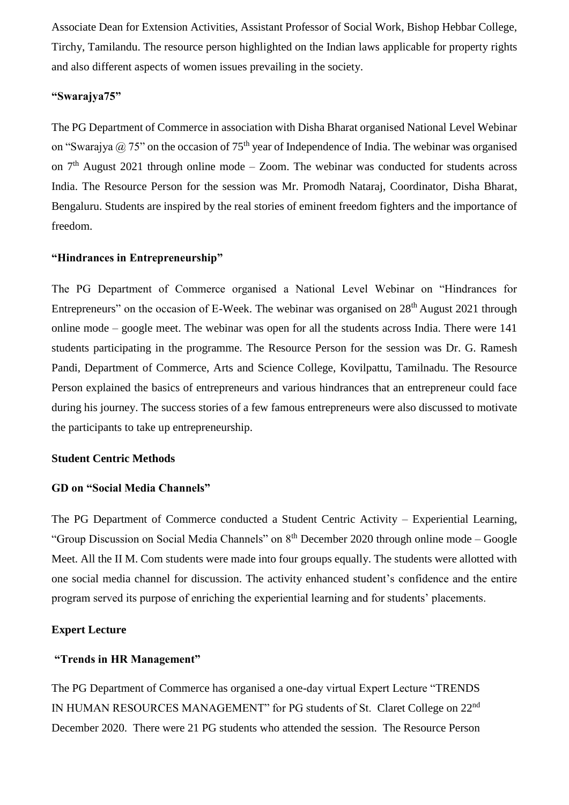Associate Dean for Extension Activities, Assistant Professor of Social Work, Bishop Hebbar College, Tirchy, Tamilandu. The resource person highlighted on the Indian laws applicable for property rights and also different aspects of women issues prevailing in the society.

## **"Swarajya75"**

The PG Department of Commerce in association with Disha Bharat organised National Level Webinar on "Swarajya  $\omega$  75" on the occasion of 75<sup>th</sup> year of Independence of India. The webinar was organised on  $7<sup>th</sup>$  August 2021 through online mode – Zoom. The webinar was conducted for students across India. The Resource Person for the session was Mr. Promodh Nataraj, Coordinator, Disha Bharat, Bengaluru. Students are inspired by the real stories of eminent freedom fighters and the importance of freedom.

## **"Hindrances in Entrepreneurship"**

The PG Department of Commerce organised a National Level Webinar on "Hindrances for Entrepreneurs" on the occasion of E-Week. The webinar was organised on  $28<sup>th</sup>$  August 2021 through online mode – google meet. The webinar was open for all the students across India. There were 141 students participating in the programme. The Resource Person for the session was Dr. G. Ramesh Pandi, Department of Commerce, Arts and Science College, Kovilpattu, Tamilnadu. The Resource Person explained the basics of entrepreneurs and various hindrances that an entrepreneur could face during his journey. The success stories of a few famous entrepreneurs were also discussed to motivate the participants to take up entrepreneurship.

## **Student Centric Methods**

## **GD on "Social Media Channels"**

The PG Department of Commerce conducted a Student Centric Activity – Experiential Learning, "Group Discussion on Social Media Channels" on 8th December 2020 through online mode – Google Meet. All the II M. Com students were made into four groups equally. The students were allotted with one social media channel for discussion. The activity enhanced student's confidence and the entire program served its purpose of enriching the experiential learning and for students' placements.

## **Expert Lecture**

## **"Trends in HR Management"**

The PG Department of Commerce has organised a one-day virtual Expert Lecture "TRENDS IN HUMAN RESOURCES MANAGEMENT" for PG students of St. Claret College on 22nd December 2020. There were 21 PG students who attended the session. The Resource Person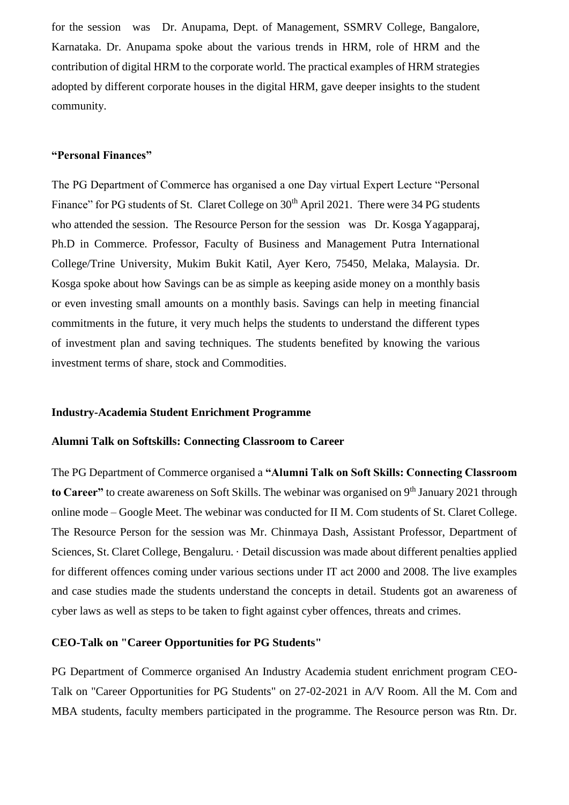for the session was Dr. Anupama, Dept. of Management, SSMRV College, Bangalore, Karnataka. Dr. Anupama spoke about the various trends in HRM, role of HRM and the contribution of digital HRM to the corporate world. The practical examples of HRM strategies adopted by different corporate houses in the digital HRM, gave deeper insights to the student community.

## **"Personal Finances"**

The PG Department of Commerce has organised a one Day virtual Expert Lecture "Personal Finance" for PG students of St. Claret College on 30<sup>th</sup> April 2021. There were 34 PG students who attended the session. The Resource Person for the session was Dr. Kosga Yagapparaj, Ph.D in Commerce. Professor, Faculty of Business and Management Putra International College/Trine University, Mukim Bukit Katil, Ayer Kero, 75450, Melaka, Malaysia. Dr. Kosga spoke about how Savings can be as simple as keeping aside money on a monthly basis or even investing small amounts on a monthly basis. Savings can help in meeting financial commitments in the future, it very much helps the students to understand the different types of investment plan and saving techniques. The students benefited by knowing the various investment terms of share, stock and Commodities.

#### **Industry-Academia Student Enrichment Programme**

## **Alumni Talk on Softskills: Connecting Classroom to Career**

The PG Department of Commerce organised a **"Alumni Talk on Soft Skills: Connecting Classroom**  to Career" to create awareness on Soft Skills. The webinar was organised on 9<sup>th</sup> January 2021 through online mode – Google Meet. The webinar was conducted for II M. Com students of St. Claret College. The Resource Person for the session was Mr. Chinmaya Dash, Assistant Professor, Department of Sciences, St. Claret College, Bengaluru. · Detail discussion was made about different penalties applied for different offences coming under various sections under IT act 2000 and 2008. The live examples and case studies made the students understand the concepts in detail. Students got an awareness of cyber laws as well as steps to be taken to fight against cyber offences, threats and crimes.

### **CEO-Talk on "Career Opportunities for PG Students"**

PG Department of Commerce organised An Industry Academia student enrichment program CEO-Talk on "Career Opportunities for PG Students" on 27-02-2021 in A/V Room. All the M. Com and MBA students, faculty members participated in the programme. The Resource person was Rtn. Dr.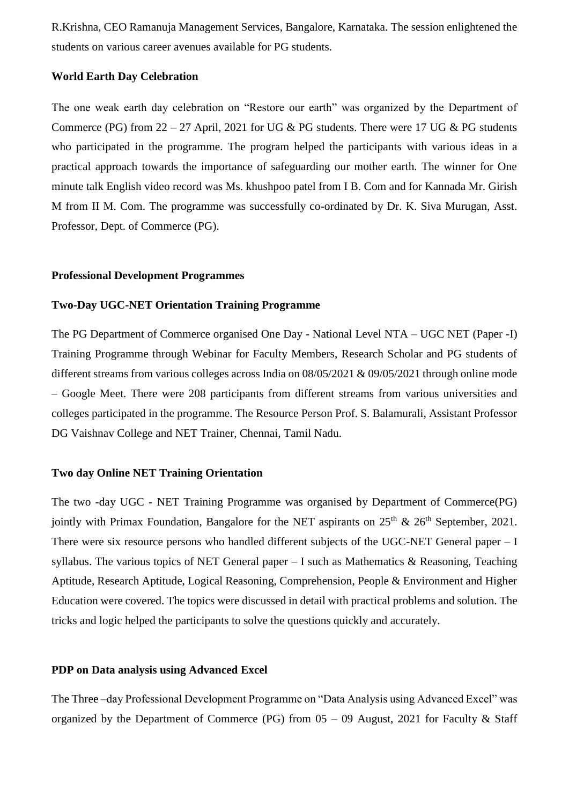R.Krishna, CEO Ramanuja Management Services, Bangalore, Karnataka. The session enlightened the students on various career avenues available for PG students.

## **World Earth Day Celebration**

The one weak earth day celebration on "Restore our earth" was organized by the Department of Commerce (PG) from  $22 - 27$  April, 2021 for UG & PG students. There were 17 UG & PG students who participated in the programme. The program helped the participants with various ideas in a practical approach towards the importance of safeguarding our mother earth. The winner for One minute talk English video record was Ms. khushpoo patel from I B. Com and for Kannada Mr. Girish M from II M. Com. The programme was successfully co-ordinated by Dr. K. Siva Murugan, Asst. Professor, Dept. of Commerce (PG).

#### **Professional Development Programmes**

#### **Two-Day UGC-NET Orientation Training Programme**

The PG Department of Commerce organised One Day - National Level NTA – UGC NET (Paper -I) Training Programme through Webinar for Faculty Members, Research Scholar and PG students of different streams from various colleges across India on 08/05/2021 & 09/05/2021 through online mode – Google Meet. There were 208 participants from different streams from various universities and colleges participated in the programme. The Resource Person Prof. S. Balamurali, Assistant Professor DG Vaishnav College and NET Trainer, Chennai, Tamil Nadu.

#### **Two day Online NET Training Orientation**

The two -day UGC - NET Training Programme was organised by Department of Commerce(PG) jointly with Primax Foundation, Bangalore for the NET aspirants on  $25<sup>th</sup>$  &  $26<sup>th</sup>$  September, 2021. There were six resource persons who handled different subjects of the UGC-NET General paper – I syllabus. The various topics of NET General paper – I such as Mathematics & Reasoning, Teaching Aptitude, Research Aptitude, Logical Reasoning, Comprehension, People & Environment and Higher Education were covered. The topics were discussed in detail with practical problems and solution. The tricks and logic helped the participants to solve the questions quickly and accurately.

## **PDP on Data analysis using Advanced Excel**

The Three –day Professional Development Programme on "Data Analysis using Advanced Excel" was organized by the Department of Commerce (PG) from  $05 - 09$  August, 2021 for Faculty & Staff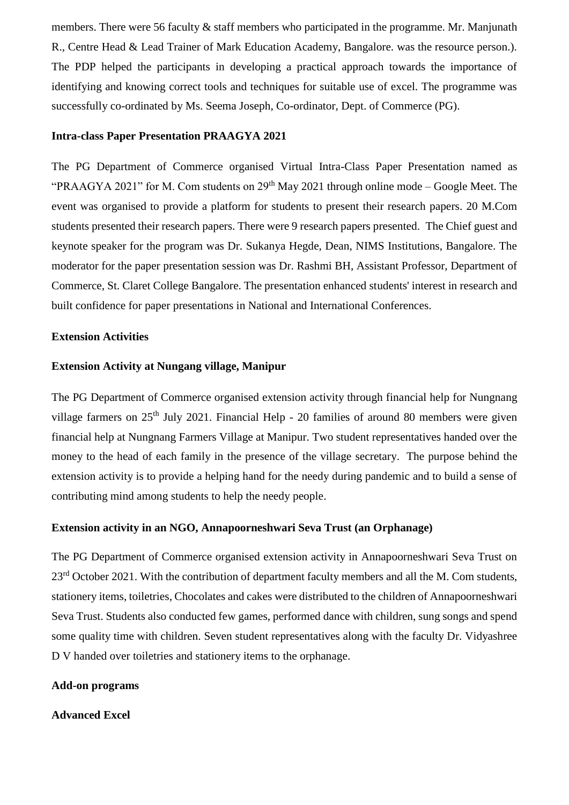members. There were 56 faculty & staff members who participated in the programme. Mr. Manjunath R., Centre Head & Lead Trainer of Mark Education Academy, Bangalore. was the resource person.). The PDP helped the participants in developing a practical approach towards the importance of identifying and knowing correct tools and techniques for suitable use of excel. The programme was successfully co-ordinated by Ms. Seema Joseph, Co-ordinator, Dept. of Commerce (PG).

## **Intra-class Paper Presentation PRAAGYA 2021**

The PG Department of Commerce organised Virtual Intra-Class Paper Presentation named as "PRAAGYA 2021" for M. Com students on 29<sup>th</sup> May 2021 through online mode – Google Meet. The event was organised to provide a platform for students to present their research papers. 20 M.Com students presented their research papers. There were 9 research papers presented. The Chief guest and keynote speaker for the program was Dr. Sukanya Hegde, Dean, NIMS Institutions, Bangalore. The moderator for the paper presentation session was Dr. Rashmi BH, Assistant Professor, Department of Commerce, St. Claret College Bangalore. The presentation enhanced students' interest in research and built confidence for paper presentations in National and International Conferences.

## **Extension Activities**

## **Extension Activity at Nungang village, Manipur**

The PG Department of Commerce organised extension activity through financial help for Nungnang village farmers on 25<sup>th</sup> July 2021. Financial Help - 20 families of around 80 members were given financial help at Nungnang Farmers Village at Manipur. Two student representatives handed over the money to the head of each family in the presence of the village secretary. The purpose behind the extension activity is to provide a helping hand for the needy during pandemic and to build a sense of contributing mind among students to help the needy people.

## **Extension activity in an NGO, Annapoorneshwari Seva Trust (an Orphanage)**

The PG Department of Commerce organised extension activity in Annapoorneshwari Seva Trust on 23<sup>rd</sup> October 2021. With the contribution of department faculty members and all the M. Com students, stationery items, toiletries, Chocolates and cakes were distributed to the children of Annapoorneshwari Seva Trust. Students also conducted few games, performed dance with children, sung songs and spend some quality time with children. Seven student representatives along with the faculty Dr. Vidyashree D V handed over toiletries and stationery items to the orphanage.

#### **Add-on programs**

#### **Advanced Excel**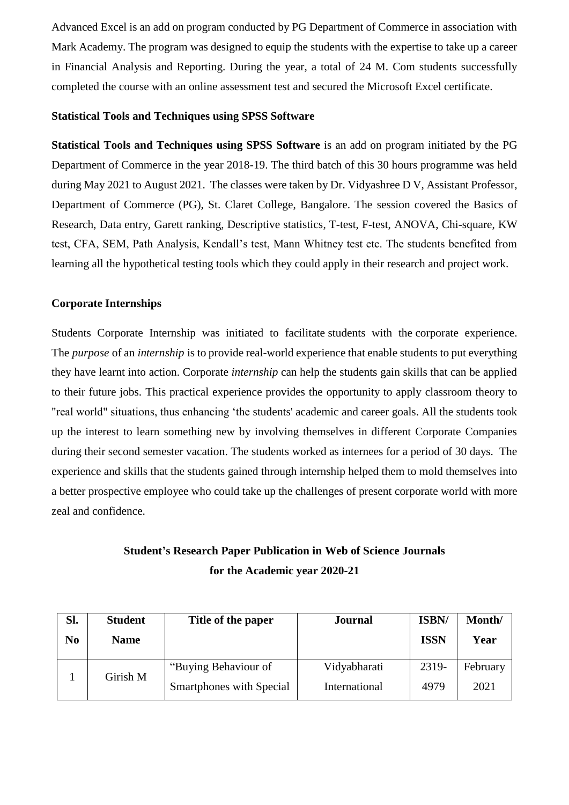Advanced Excel is an add on program conducted by PG Department of Commerce in association with Mark Academy. The program was designed to equip the students with the expertise to take up a career in Financial Analysis and Reporting. During the year, a total of 24 M. Com students successfully completed the course with an online assessment test and secured the Microsoft Excel certificate.

## **Statistical Tools and Techniques using SPSS Software**

**Statistical Tools and Techniques using SPSS Software** is an add on program initiated by the PG Department of Commerce in the year 2018-19. The third batch of this 30 hours programme was held during May 2021 to August 2021. The classes were taken by Dr. Vidyashree D V, Assistant Professor, Department of Commerce (PG), St. Claret College, Bangalore. The session covered the Basics of Research, Data entry, Garett ranking, Descriptive statistics, T-test, F-test, ANOVA, Chi-square, KW test, CFA, SEM, Path Analysis, Kendall's test, Mann Whitney test etc. The students benefited from learning all the hypothetical testing tools which they could apply in their research and project work.

## **Corporate Internships**

Students Corporate Internship was initiated to facilitate students with the corporate experience. The *purpose* of an *internship* is to provide real-world experience that enable students to put everything they have learnt into action. Corporate *internship* can help the students gain skills that can be applied to their future jobs. This practical experience provides the opportunity to apply classroom theory to "real world" situations, thus enhancing 'the students' academic and career goals. All the students took up the interest to learn something new by involving themselves in different Corporate Companies during their second semester vacation. The students worked as internees for a period of 30 days. The experience and skills that the students gained through internship helped them to mold themselves into a better prospective employee who could take up the challenges of present corporate world with more zeal and confidence.

## **Student's Research Paper Publication in Web of Science Journals for the Academic year 2020-21**

| Sl.            | <b>Student</b> | Title of the paper       | <b>Journal</b> | ISBN/       | Month/   |
|----------------|----------------|--------------------------|----------------|-------------|----------|
| N <sub>0</sub> | <b>Name</b>    |                          |                | <b>ISSN</b> | Year     |
|                | Girish M       | "Buying Behaviour of     | Vidyabharati   | 2319-       | February |
|                |                | Smartphones with Special | International  | 4979        | 2021     |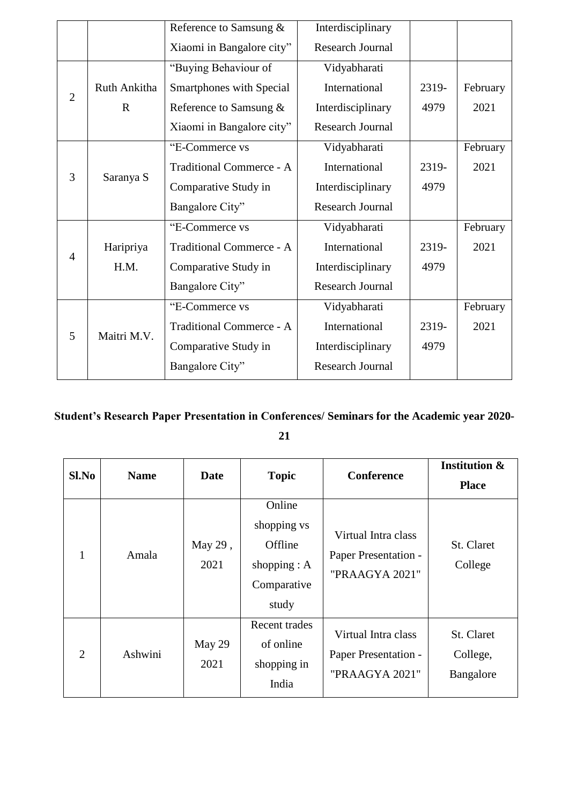|                |              | Reference to Samsung &          | Interdisciplinary       |       |          |
|----------------|--------------|---------------------------------|-------------------------|-------|----------|
|                |              | Xiaomi in Bangalore city"       | <b>Research Journal</b> |       |          |
|                |              | "Buying Behaviour of            | Vidyabharati            |       |          |
| $\overline{2}$ | Ruth Ankitha | <b>Smartphones with Special</b> | International           | 2319- | February |
|                | $\mathbf R$  | Reference to Samsung &          | Interdisciplinary       | 4979  | 2021     |
|                |              | Xiaomi in Bangalore city"       | <b>Research Journal</b> |       |          |
|                |              | "E-Commerce vs                  | Vidyabharati            |       | February |
| 3              |              | Traditional Commerce - A        | International           | 2319- | 2021     |
|                | Saranya S    | Comparative Study in            | Interdisciplinary       | 4979  |          |
|                |              | Bangalore City"                 | Research Journal        |       |          |
|                |              | "E-Commerce vs                  | Vidyabharati            |       | February |
| $\overline{4}$ | Haripriya    | Traditional Commerce - A        | International           | 2319- | 2021     |
|                | H.M.         | Comparative Study in            | Interdisciplinary       | 4979  |          |
|                |              | Bangalore City"                 | <b>Research Journal</b> |       |          |
|                |              | "E-Commerce vs                  | Vidyabharati            |       | February |
| 5              | Maitri M.V.  | Traditional Commerce - A        | International           | 2319- | 2021     |
|                |              | Comparative Study in            | Interdisciplinary       | 4979  |          |
|                |              | Bangalore City"                 | <b>Research Journal</b> |       |          |

# **Student's Research Paper Presentation in Conferences/ Seminars for the Academic year 2020- 21**

| $Sl$ . No | <b>Name</b> | Date            | <b>Topic</b>                                                               | <b>Conference</b>                                             | <b>Institution &amp;</b><br><b>Place</b> |
|-----------|-------------|-----------------|----------------------------------------------------------------------------|---------------------------------------------------------------|------------------------------------------|
| 1         | Amala       | May 29,<br>2021 | Online<br>shopping vs<br>Offline<br>shopping $: A$<br>Comparative<br>study | Virtual Intra class<br>Paper Presentation -<br>"PRAAGYA 2021" | St. Claret<br>College                    |
| 2         | Ashwini     | May 29<br>2021  | Recent trades<br>of online<br>shopping in<br>India                         | Virtual Intra class<br>Paper Presentation -<br>"PRAAGYA 2021" | St. Claret<br>College,<br>Bangalore      |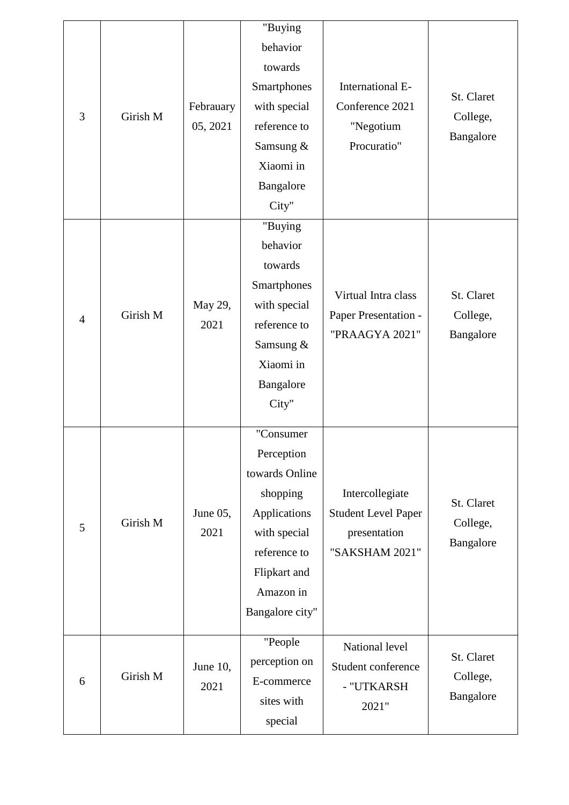| 3              | Girish M | Febrauary<br>05, 2021 | "Buying<br>behavior<br>towards<br>Smartphones<br>with special<br>reference to<br>Samsung &<br>Xiaomi in<br>Bangalore<br>City"                         | International E-<br>Conference 2021<br>"Negotium<br>Procuratio"                 | St. Claret<br>College,<br>Bangalore |
|----------------|----------|-----------------------|-------------------------------------------------------------------------------------------------------------------------------------------------------|---------------------------------------------------------------------------------|-------------------------------------|
| $\overline{4}$ | Girish M | May 29,<br>2021       | "Buying<br>behavior<br>towards<br>Smartphones<br>with special<br>reference to<br>Samsung &<br>Xiaomi in<br>Bangalore<br>City"                         | Virtual Intra class<br>Paper Presentation -<br>"PRAAGYA 2021"                   | St. Claret<br>College,<br>Bangalore |
| 5              | Girish M | June 05,<br>2021      | "Consumer<br>Perception<br>towards Online<br>shopping<br>Applications<br>with special<br>reference to<br>Flipkart and<br>Amazon in<br>Bangalore city" | Intercollegiate<br><b>Student Level Paper</b><br>presentation<br>"SAKSHAM 2021" | St. Claret<br>College,<br>Bangalore |
| 6              | Girish M | June 10,<br>2021      | "People<br>perception on<br>E-commerce<br>sites with<br>special                                                                                       | National level<br>Student conference<br>- "UTKARSH<br>2021"                     | St. Claret<br>College,<br>Bangalore |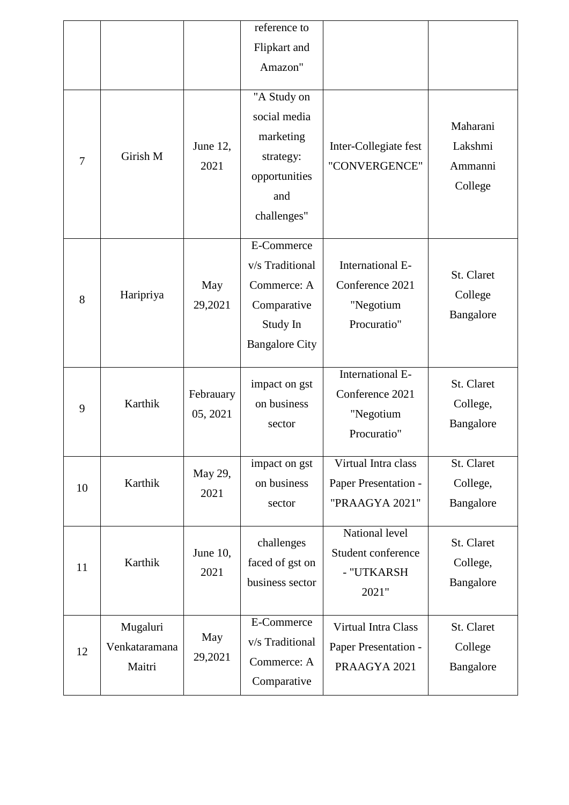|    |                                     |                       | reference to                                                                                     |                                                                 |                                           |
|----|-------------------------------------|-----------------------|--------------------------------------------------------------------------------------------------|-----------------------------------------------------------------|-------------------------------------------|
|    |                                     |                       | Flipkart and                                                                                     |                                                                 |                                           |
|    |                                     |                       | Amazon"                                                                                          |                                                                 |                                           |
| 7  | Girish M                            | June 12,<br>2021      | "A Study on<br>social media<br>marketing<br>strategy:<br>opportunities<br>and<br>challenges"     | Inter-Collegiate fest<br>"CONVERGENCE"                          | Maharani<br>Lakshmi<br>Ammanni<br>College |
| 8  | Haripriya                           | May<br>29,2021        | E-Commerce<br>v/s Traditional<br>Commerce: A<br>Comparative<br>Study In<br><b>Bangalore City</b> | International E-<br>Conference 2021<br>"Negotium<br>Procuratio" | St. Claret<br>College<br>Bangalore        |
| 9  | Karthik                             | Febrauary<br>05, 2021 | impact on gst<br>on business<br>sector                                                           | International E-<br>Conference 2021<br>"Negotium<br>Procuratio" | St. Claret<br>College,<br>Bangalore       |
| 10 | Karthik                             | May 29,<br>2021       | impact on gst<br>on business<br>sector                                                           | Virtual Intra class<br>Paper Presentation -<br>"PRAAGYA 2021"   | St. Claret<br>College,<br>Bangalore       |
| 11 | Karthik                             | June 10,<br>2021      | challenges<br>faced of gst on<br>business sector                                                 | National level<br>Student conference<br>- "UTKARSH<br>2021"     | St. Claret<br>College,<br>Bangalore       |
| 12 | Mugaluri<br>Venkataramana<br>Maitri | May<br>29,2021        | E-Commerce<br>v/s Traditional<br>Commerce: A<br>Comparative                                      | Virtual Intra Class<br>Paper Presentation -<br>PRAAGYA 2021     | St. Claret<br>College<br>Bangalore        |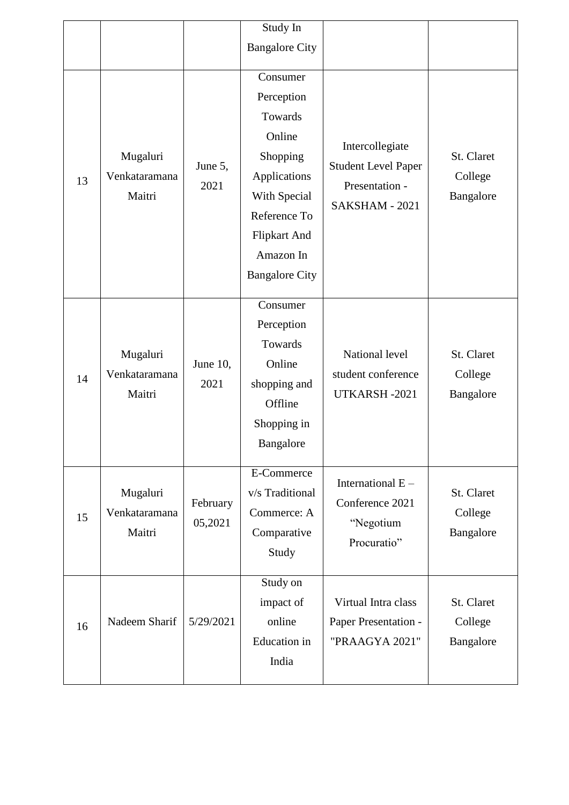|    |                                     |                     | Study In                                                                                                                                                             |                                                                                   |                                    |
|----|-------------------------------------|---------------------|----------------------------------------------------------------------------------------------------------------------------------------------------------------------|-----------------------------------------------------------------------------------|------------------------------------|
|    |                                     |                     | <b>Bangalore City</b>                                                                                                                                                |                                                                                   |                                    |
| 13 | Mugaluri<br>Venkataramana<br>Maitri | June 5,<br>2021     | Consumer<br>Perception<br>Towards<br>Online<br>Shopping<br>Applications<br>With Special<br>Reference To<br><b>Flipkart And</b><br>Amazon In<br><b>Bangalore City</b> | Intercollegiate<br><b>Student Level Paper</b><br>Presentation -<br>SAKSHAM - 2021 | St. Claret<br>College<br>Bangalore |
| 14 | Mugaluri<br>Venkataramana<br>Maitri | June 10,<br>2021    | Consumer<br>Perception<br>Towards<br>Online<br>shopping and<br>Offline<br>Shopping in<br>Bangalore                                                                   | National level<br>student conference<br>UTKARSH-2021                              | St. Claret<br>College<br>Bangalore |
| 15 | Mugaluri<br>Venkataramana<br>Maitri | February<br>05,2021 | E-Commerce<br>v/s Traditional<br>Commerce: A<br>Comparative<br>Study                                                                                                 | International $E -$<br>Conference 2021<br>"Negotium<br>Procuratio"                | St. Claret<br>College<br>Bangalore |
| 16 | Nadeem Sharif                       | 5/29/2021           | Study on<br>impact of<br>online<br>Education in<br>India                                                                                                             | Virtual Intra class<br>Paper Presentation -<br>"PRAAGYA 2021"                     | St. Claret<br>College<br>Bangalore |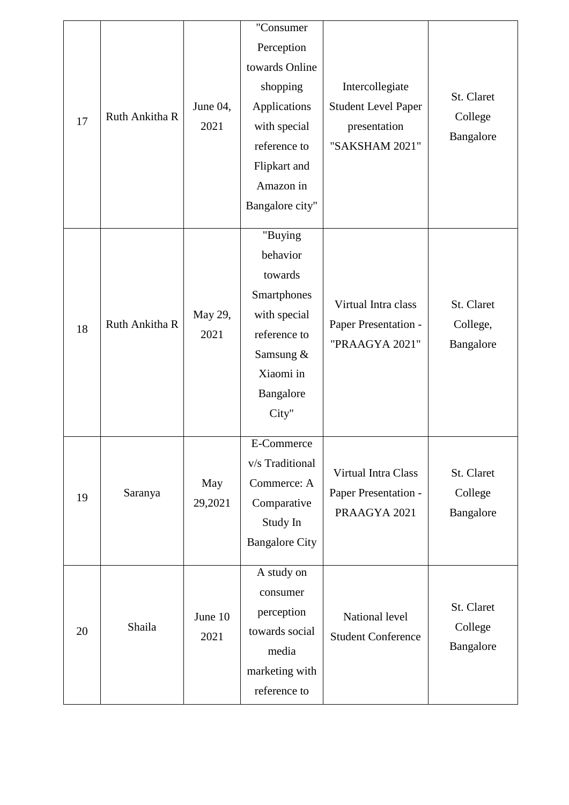| 17 | Ruth Ankitha R | June 04,<br>2021 | "Consumer<br>Perception<br>towards Online<br>shopping<br>Applications<br>with special<br>reference to<br>Flipkart and<br>Amazon in<br>Bangalore city" | Intercollegiate<br><b>Student Level Paper</b><br>presentation<br>"SAKSHAM 2021" | St. Claret<br>College<br>Bangalore  |
|----|----------------|------------------|-------------------------------------------------------------------------------------------------------------------------------------------------------|---------------------------------------------------------------------------------|-------------------------------------|
| 18 | Ruth Ankitha R | May 29,<br>2021  | "Buying<br>behavior<br>towards<br>Smartphones<br>with special<br>reference to<br>Samsung &<br>Xiaomi in<br>Bangalore<br>City"                         | Virtual Intra class<br>Paper Presentation -<br>"PRAAGYA 2021"                   | St. Claret<br>College,<br>Bangalore |
| 19 | Saranya        | May<br>29,2021   | E-Commerce<br>v/s Traditional<br>Commerce: A<br>Comparative<br>Study In<br><b>Bangalore City</b>                                                      | Virtual Intra Class<br>Paper Presentation -<br>PRAAGYA 2021                     | St. Claret<br>College<br>Bangalore  |
| 20 | Shaila         | June 10<br>2021  | A study on<br>consumer<br>perception<br>towards social<br>media<br>marketing with<br>reference to                                                     | National level<br><b>Student Conference</b>                                     | St. Claret<br>College<br>Bangalore  |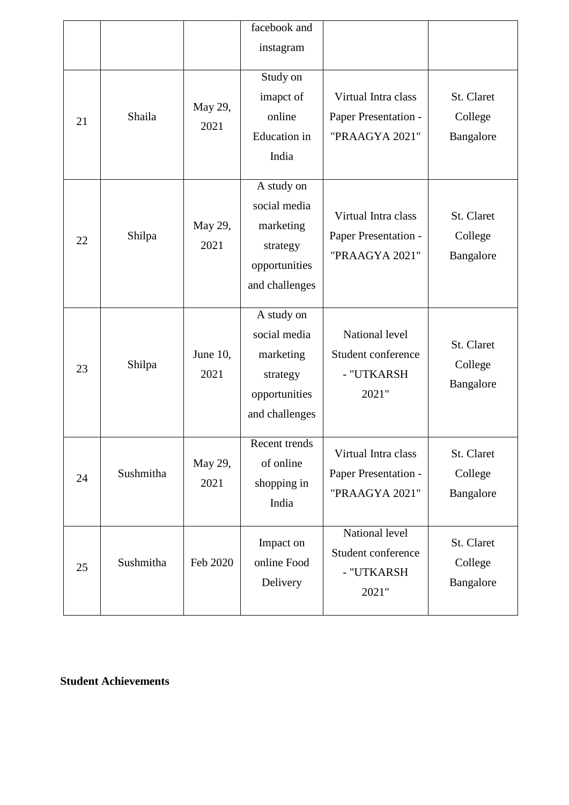|    |           |                  | facebook and<br>instagram                                                              |                                                               |                                    |
|----|-----------|------------------|----------------------------------------------------------------------------------------|---------------------------------------------------------------|------------------------------------|
| 21 | Shaila    | May 29,<br>2021  | Study on<br>imapct of<br>online<br><b>Education</b> in<br>India                        | Virtual Intra class<br>Paper Presentation -<br>"PRAAGYA 2021" | St. Claret<br>College<br>Bangalore |
| 22 | Shilpa    | May 29,<br>2021  | A study on<br>social media<br>marketing<br>strategy<br>opportunities<br>and challenges | Virtual Intra class<br>Paper Presentation -<br>"PRAAGYA 2021" | St. Claret<br>College<br>Bangalore |
| 23 | Shilpa    | June 10,<br>2021 | A study on<br>social media<br>marketing<br>strategy<br>opportunities<br>and challenges | National level<br>Student conference<br>- "UTKARSH<br>2021"   | St. Claret<br>College<br>Bangalore |
| 24 | Sushmitha | May 29,<br>2021  | Recent trends<br>of online<br>shopping in<br>India                                     | Virtual Intra class<br>Paper Presentation -<br>"PRAAGYA 2021" | St. Claret<br>College<br>Bangalore |
| 25 | Sushmitha | Feb 2020         | Impact on<br>online Food<br>Delivery                                                   | National level<br>Student conference<br>- "UTKARSH<br>2021"   | St. Claret<br>College<br>Bangalore |

## **Student Achievements**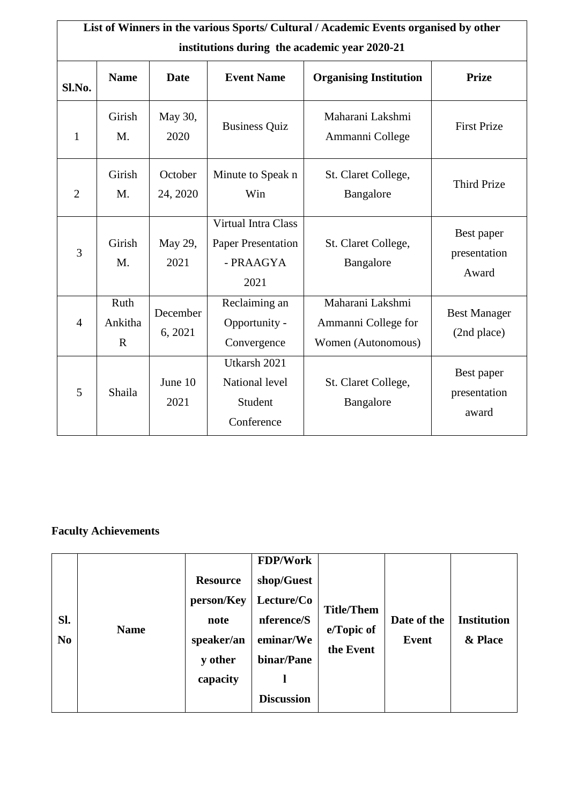|                | List of Winners in the various Sports/ Cultural / Academic Events organised by other |                     |                                                                       |                                                               |                                     |  |  |  |  |  |  |
|----------------|--------------------------------------------------------------------------------------|---------------------|-----------------------------------------------------------------------|---------------------------------------------------------------|-------------------------------------|--|--|--|--|--|--|
|                | institutions during the academic year 2020-21                                        |                     |                                                                       |                                                               |                                     |  |  |  |  |  |  |
| Sl.No.         | <b>Name</b>                                                                          | Date                | <b>Event Name</b>                                                     | <b>Organising Institution</b>                                 | <b>Prize</b>                        |  |  |  |  |  |  |
| $\mathbf{1}$   | Girish<br>M.                                                                         | May 30,<br>2020     | <b>Business Quiz</b>                                                  | Maharani Lakshmi<br>Ammanni College                           | <b>First Prize</b>                  |  |  |  |  |  |  |
| $\overline{2}$ | Girish<br>M.                                                                         | October<br>24, 2020 | Minute to Speak n<br>Win                                              | St. Claret College,<br>Bangalore                              | <b>Third Prize</b>                  |  |  |  |  |  |  |
| 3              | Girish<br>M.                                                                         | May 29,<br>2021     | Virtual Intra Class<br><b>Paper Presentation</b><br>- PRAAGYA<br>2021 | St. Claret College,<br>Bangalore                              | Best paper<br>presentation<br>Award |  |  |  |  |  |  |
| $\overline{4}$ | Ruth<br>Ankitha<br>$\mathbf R$                                                       | December<br>6, 2021 | Reclaiming an<br>Opportunity -<br>Convergence                         | Maharani Lakshmi<br>Ammanni College for<br>Women (Autonomous) | <b>Best Manager</b><br>(2nd place)  |  |  |  |  |  |  |
| 5              | Shaila                                                                               | June 10<br>2021     | Utkarsh 2021<br>National level<br>Student<br>Conference               | St. Claret College,<br>Bangalore                              | Best paper<br>presentation<br>award |  |  |  |  |  |  |

## **Faculty Achievements**

| Sl.<br>N <sub>0</sub> | <b>Name</b> | <b>Resource</b><br>person/Key<br>note<br>speaker/an<br>y other<br>capacity | <b>FDP/Work</b><br>shop/Guest<br>Lecture/Co<br>nference/S<br>eminar/We<br>binar/Pane<br><b>Discussion</b> | <b>Title/Them</b><br>e/Topic of<br>the Event | Date of the<br>Event | <b>Institution</b><br>& Place |
|-----------------------|-------------|----------------------------------------------------------------------------|-----------------------------------------------------------------------------------------------------------|----------------------------------------------|----------------------|-------------------------------|
|-----------------------|-------------|----------------------------------------------------------------------------|-----------------------------------------------------------------------------------------------------------|----------------------------------------------|----------------------|-------------------------------|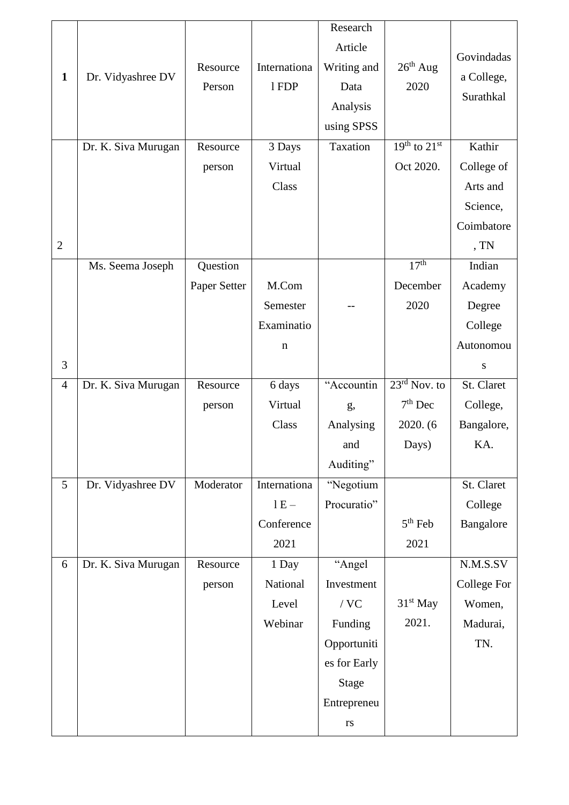|                |                     |              |              | Research     |                  |             |
|----------------|---------------------|--------------|--------------|--------------|------------------|-------------|
|                |                     |              |              | Article      |                  |             |
|                |                     | Resource     | Internationa | Writing and  | $26th$ Aug       | Govindadas  |
| $\mathbf{1}$   | Dr. Vidyashree DV   | Person       | 1FDP         | Data         | 2020             | a College,  |
|                |                     |              |              | Analysis     |                  | Surathkal   |
|                |                     |              |              | using SPSS   |                  |             |
|                | Dr. K. Siva Murugan | Resource     | 3 Days       | Taxation     | $19th$ to $21st$ | Kathir      |
|                |                     | person       | Virtual      |              | Oct 2020.        | College of  |
|                |                     |              | Class        |              |                  | Arts and    |
|                |                     |              |              |              |                  | Science,    |
|                |                     |              |              |              |                  | Coimbatore  |
| $\overline{2}$ |                     |              |              |              |                  | , TN        |
|                | Ms. Seema Joseph    | Question     |              |              | 17 <sup>th</sup> | Indian      |
|                |                     | Paper Setter | M.Com        |              | December         | Academy     |
|                |                     |              | Semester     |              | 2020             | Degree      |
|                |                     |              | Examinatio   |              |                  | College     |
|                |                     |              | $\mathbf n$  |              |                  | Autonomou   |
| 3              |                     |              |              |              |                  | ${\bf S}$   |
| $\overline{4}$ | Dr. K. Siva Murugan | Resource     | 6 days       | "Accountin   | $23rd$ Nov. to   | St. Claret  |
|                |                     |              |              |              |                  |             |
|                |                     | person       | Virtual      | g,           | $7th$ Dec        | College,    |
|                |                     |              | Class        | Analysing    | 2020. (6)        | Bangalore,  |
|                |                     |              |              | and          | Days)            | KA.         |
|                |                     |              |              | Auditing"    |                  |             |
| 5              | Dr. Vidyashree DV   | Moderator    | Internationa | "Negotium    |                  | St. Claret  |
|                |                     |              | $1E -$       | Procuratio"  |                  | College     |
|                |                     |              | Conference   |              | $5th$ Feb        | Bangalore   |
|                |                     |              | 2021         |              | 2021             |             |
| 6              | Dr. K. Siva Murugan | Resource     | 1 Day        | "Angel       |                  | N.M.S.SV    |
|                |                     | person       | National     | Investment   |                  | College For |
|                |                     |              | Level        | / $\rm VC$   | $31st$ May       | Women,      |
|                |                     |              | Webinar      | Funding      | 2021.            | Madurai,    |
|                |                     |              |              | Opportuniti  |                  | TN.         |
|                |                     |              |              | es for Early |                  |             |
|                |                     |              |              | <b>Stage</b> |                  |             |
|                |                     |              |              | Entrepreneu  |                  |             |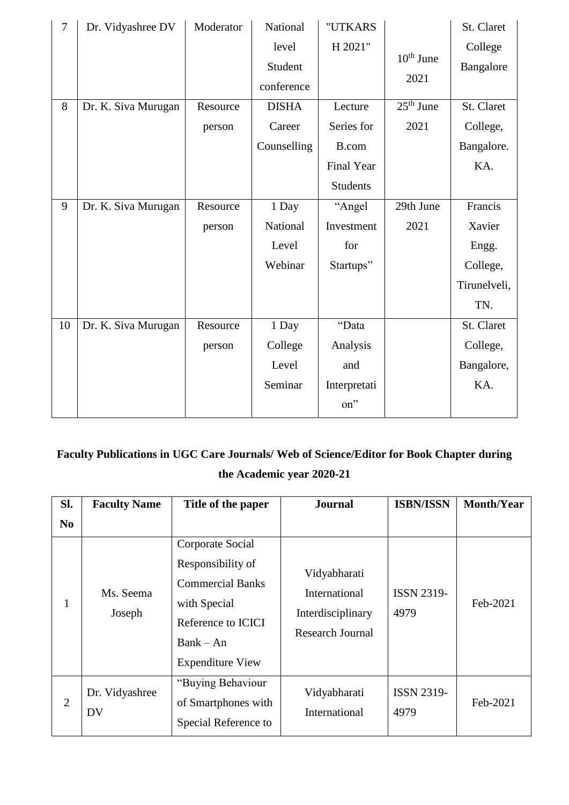| $\overline{7}$ | Dr. Vidyashree DV   | Moderator | National     | "UTKARS         |             | St. Claret   |
|----------------|---------------------|-----------|--------------|-----------------|-------------|--------------|
|                |                     |           | level        | H 2021"         |             | College      |
|                |                     |           | Student      |                 | $10th$ June | Bangalore    |
|                |                     |           | conference   |                 | 2021        |              |
| 8              | Dr. K. Siva Murugan | Resource  | <b>DISHA</b> | Lecture         | $25th$ June | St. Claret   |
|                |                     | person    | Career       | Series for      | 2021        | College,     |
|                |                     |           | Counselling  | B.com           |             | Bangalore.   |
|                |                     |           |              | Final Year      |             | KA.          |
|                |                     |           |              | <b>Students</b> |             |              |
| 9              | Dr. K. Siva Murugan | Resource  | 1 Day        | "Angel          | 29th June   | Francis      |
|                |                     | person    | National     | Investment      | 2021        | Xavier       |
|                |                     |           | Level        | for             |             | Engg.        |
|                |                     |           | Webinar      | Startups"       |             | College,     |
|                |                     |           |              |                 |             | Tirunelveli, |
|                |                     |           |              |                 |             | TN.          |
| 10             | Dr. K. Siva Murugan | Resource  | 1 Day        | "Data           |             | St. Claret   |
|                |                     | person    | College      | Analysis        |             | College,     |
|                |                     |           | Level        | and             |             | Bangalore,   |
|                |                     |           | Seminar      | Interpretati    |             | KA.          |
|                |                     |           |              | on"             |             |              |

# **Faculty Publications in UGC Care Journals/ Web of Science/Editor for Book Chapter during the Academic year 2020-21**

| SI.            | <b>Faculty Name</b>  | Title of the paper                                                                                                                               | <b>Journal</b>                                                         | <b>ISBN/ISSN</b>          | <b>Month/Year</b> |
|----------------|----------------------|--------------------------------------------------------------------------------------------------------------------------------------------------|------------------------------------------------------------------------|---------------------------|-------------------|
| N <sub>0</sub> |                      |                                                                                                                                                  |                                                                        |                           |                   |
| -1             | Ms. Seema<br>Joseph  | Corporate Social<br>Responsibility of<br><b>Commercial Banks</b><br>with Special<br>Reference to ICICI<br>$Bank - An$<br><b>Expenditure View</b> | Vidyabharati<br>International<br>Interdisciplinary<br>Research Journal | <b>ISSN 2319-</b><br>4979 | Feb-2021          |
| $\overline{2}$ | Dr. Vidyashree<br>DV | "Buying Behaviour<br>of Smartphones with<br>Special Reference to                                                                                 | Vidyabharati<br>International                                          | <b>ISSN 2319-</b><br>4979 | Feb-2021          |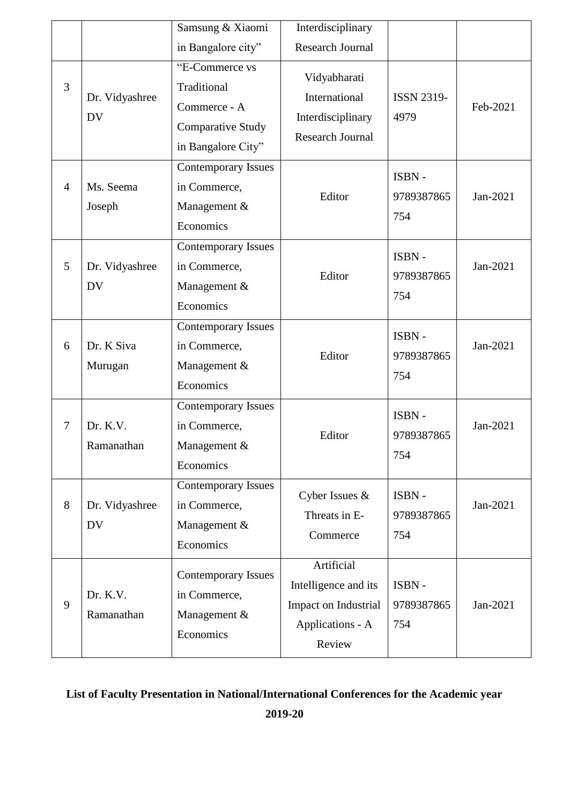|                |                             | Samsung & Xiaomi                                                                                | Interdisciplinary                                                                        |                            |          |
|----------------|-----------------------------|-------------------------------------------------------------------------------------------------|------------------------------------------------------------------------------------------|----------------------------|----------|
|                |                             | in Bangalore city"                                                                              | <b>Research Journal</b>                                                                  |                            |          |
| 3              | Dr. Vidyashree<br><b>DV</b> | "E-Commerce vs<br>Traditional<br>Commerce - A<br><b>Comparative Study</b><br>in Bangalore City" | Vidyabharati<br>International<br>Interdisciplinary<br><b>Research Journal</b>            | <b>ISSN 2319-</b><br>4979  | Feb-2021 |
| $\overline{4}$ | Ms. Seema<br>Joseph         | <b>Contemporary Issues</b><br>in Commerce,<br>Management &<br>Economics                         | Editor                                                                                   | ISBN-<br>9789387865<br>754 | Jan-2021 |
| 5              | Dr. Vidyashree<br><b>DV</b> | <b>Contemporary Issues</b><br>in Commerce,<br>Management &<br>Economics                         | Editor                                                                                   | ISBN-<br>9789387865<br>754 | Jan-2021 |
| 6              | Dr. K Siva<br>Murugan       | <b>Contemporary Issues</b><br>in Commerce,<br>Management &<br>Economics                         | Editor                                                                                   | ISBN-<br>9789387865<br>754 | Jan-2021 |
| 7              | Dr. K.V.<br>Ramanathan      | <b>Contemporary Issues</b><br>in Commerce,<br>Management &<br>Economics                         | Editor                                                                                   | ISBN-<br>9789387865<br>754 | Jan-2021 |
| 8              | Dr. Vidyashree<br><b>DV</b> | <b>Contemporary Issues</b><br>in Commerce,<br>Management &<br>Economics                         | Cyber Issues &<br>Threats in E-<br>Commerce                                              | ISBN-<br>9789387865<br>754 | Jan-2021 |
| 9              | Dr. K.V.<br>Ramanathan      | <b>Contemporary Issues</b><br>in Commerce,<br>Management &<br>Economics                         | Artificial<br>Intelligence and its<br>Impact on Industrial<br>Applications - A<br>Review | ISBN-<br>9789387865<br>754 | Jan-2021 |

## **List of Faculty Presentation in National/International Conferences for the Academic year**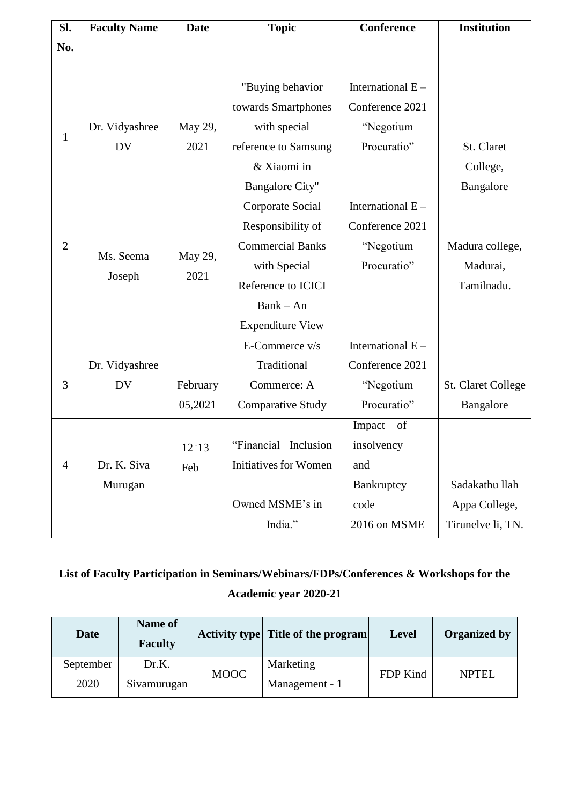| SI.            | <b>Faculty Name</b> | <b>Date</b> | <b>Topic</b>                 | <b>Conference</b>   | <b>Institution</b>        |
|----------------|---------------------|-------------|------------------------------|---------------------|---------------------------|
| No.            |                     |             |                              |                     |                           |
|                |                     |             |                              |                     |                           |
|                |                     |             | "Buying behavior             | International E -   |                           |
|                |                     |             | towards Smartphones          | Conference 2021     |                           |
|                | Dr. Vidyashree      | May 29,     | with special                 | "Negotium           |                           |
| $\mathbf{1}$   | <b>DV</b>           | 2021        | reference to Samsung         | Procuratio"         | St. Claret                |
|                |                     |             | & Xiaomi in                  |                     | College,                  |
|                |                     |             | <b>Bangalore City"</b>       |                     | Bangalore                 |
|                |                     |             | Corporate Social             | International $E -$ |                           |
|                |                     |             | Responsibility of            | Conference 2021     |                           |
| $\overline{2}$ | Ms. Seema           | May 29,     | <b>Commercial Banks</b>      | "Negotium           | Madura college,           |
|                |                     | 2021        | with Special                 | Procuratio"         | Madurai,                  |
|                | Joseph              |             | Reference to ICICI           |                     | Tamilnadu.                |
|                |                     |             | $Bank - An$                  |                     |                           |
|                |                     |             | <b>Expenditure View</b>      |                     |                           |
|                |                     |             | E-Commerce v/s               | International $E -$ |                           |
|                | Dr. Vidyashree      |             | Traditional                  | Conference 2021     |                           |
| 3              | <b>DV</b>           | February    | Commerce: A                  | "Negotium           | <b>St. Claret College</b> |
|                |                     | 05,2021     | <b>Comparative Study</b>     | Procuratio"         | Bangalore                 |
|                |                     |             |                              | Impact<br>of        |                           |
|                |                     | $12 - 13$   | "Financial Inclusion"        | insolvency          |                           |
| $\overline{4}$ | Dr. K. Siva         | Feb         | <b>Initiatives for Women</b> | and                 |                           |
|                | Murugan             |             |                              | Bankruptcy          | Sadakathu llah            |
|                |                     |             | Owned MSME's in              | code                | Appa College,             |
|                |                     |             | India."                      | 2016 on MSME        | Tirunelve li, TN.         |

**List of Faculty Participation in Seminars/Webinars/FDPs/Conferences & Workshops for the Academic year 2020-21**

| <b>Date</b> | Name of<br><b>Faculty</b> |             | Activity type Title of the program | <b>Level</b> | <b>Organized by</b> |
|-------------|---------------------------|-------------|------------------------------------|--------------|---------------------|
| September   | Dr.K.                     | <b>MOOC</b> | Marketing                          | FDP Kind     | <b>NPTEL</b>        |
| 2020        | Sivamurugan               |             | Management - 1                     |              |                     |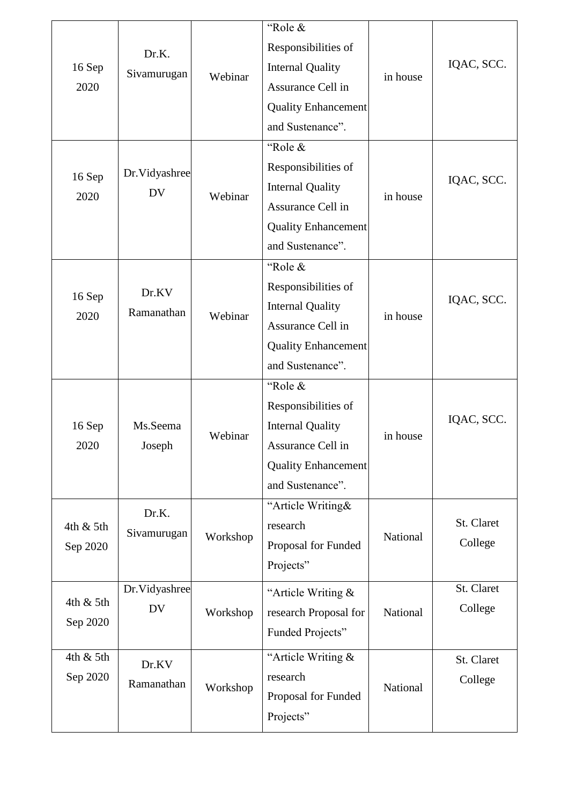| 16 Sep<br>2020<br>16 Sep<br>2020 | Dr.K.<br>Sivamurugan<br>Dr.Vidyashree<br><b>DV</b> | Webinar<br>Webinar | "Role &<br>Responsibilities of<br><b>Internal Quality</b><br>Assurance Cell in<br><b>Quality Enhancement</b><br>and Sustenance".<br>"Role &<br>Responsibilities of<br><b>Internal Quality</b><br>Assurance Cell in<br><b>Quality Enhancement</b> | in house<br>in house | IQAC, SCC.<br>IQAC, SCC. |
|----------------------------------|----------------------------------------------------|--------------------|--------------------------------------------------------------------------------------------------------------------------------------------------------------------------------------------------------------------------------------------------|----------------------|--------------------------|
|                                  |                                                    |                    | and Sustenance".                                                                                                                                                                                                                                 |                      |                          |
| 16 Sep<br>2020                   | Dr.KV<br>Ramanathan                                | Webinar            | "Role &<br>Responsibilities of<br><b>Internal Quality</b><br>Assurance Cell in<br><b>Quality Enhancement</b><br>and Sustenance".                                                                                                                 | in house             | IQAC, SCC.               |
| 16 Sep<br>2020                   | Ms.Seema<br>Joseph                                 | Webinar            | "Role &<br>Responsibilities of<br><b>Internal Quality</b><br>Assurance Cell in<br><b>Quality Enhancement</b><br>and Sustenance".                                                                                                                 | in house             | IQAC, SCC.               |
| 4th & 5th<br>Sep 2020            | Dr.K.<br>Sivamurugan                               | Workshop           | "Article Writing&<br>research<br>Proposal for Funded<br>Projects"                                                                                                                                                                                | National             | St. Claret<br>College    |
| 4th & 5th<br>Sep 2020            | Dr.Vidyashree<br><b>DV</b>                         | Workshop           | "Article Writing &<br>research Proposal for<br>Funded Projects"                                                                                                                                                                                  | National             | St. Claret<br>College    |
| 4th & 5th<br>Sep 2020            | Dr.KV<br>Ramanathan                                | Workshop           | "Article Writing &<br>research<br>Proposal for Funded<br>Projects"                                                                                                                                                                               | National             | St. Claret<br>College    |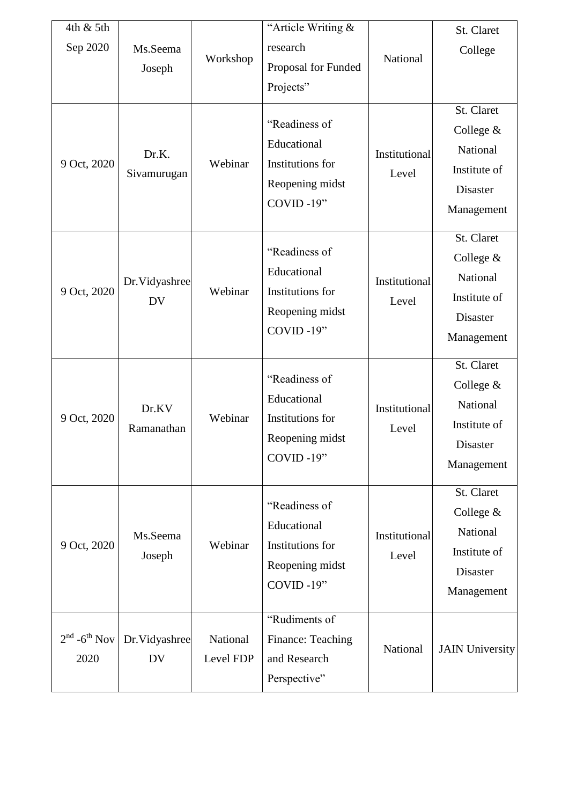| 4th & 5th<br>Sep 2020<br>9 Oct, 2020 | Ms.Seema<br>Joseph<br>Dr.K.<br>Sivamurugan | Workshop<br>Webinar   | "Article Writing &<br>research<br>Proposal for Funded<br>Projects"<br>"Readiness of<br>Educational<br>Institutions for<br>Reopening midst<br>COVID-19" | National<br>Institutional<br>Level | St. Claret<br>College<br>St. Claret<br>College $&$<br>National<br>Institute of<br><b>Disaster</b><br>Management |
|--------------------------------------|--------------------------------------------|-----------------------|--------------------------------------------------------------------------------------------------------------------------------------------------------|------------------------------------|-----------------------------------------------------------------------------------------------------------------|
| 9 Oct, 2020                          | Dr.Vidyashree<br><b>DV</b>                 | Webinar               | "Readiness of<br>Educational<br>Institutions for<br>Reopening midst<br>COVID-19"                                                                       | Institutional<br>Level             | St. Claret<br>College $&$<br>National<br>Institute of<br><b>Disaster</b><br>Management                          |
| 9 Oct, 2020                          | Dr.KV<br>Ramanathan                        | Webinar               | "Readiness of<br>Educational<br>Institutions for<br>Reopening midst<br>COVID-19"                                                                       | Institutional<br>Level             | St. Claret<br>College $&$<br>National<br>Institute of<br>Disaster<br>Management                                 |
| 9 Oct, 2020                          | Ms.Seema<br>Joseph                         | Webinar               | "Readiness of<br>Educational<br>Institutions for<br>Reopening midst<br>COVID-19"                                                                       | Institutional<br>Level             | St. Claret<br>College &<br>National<br>Institute of<br><b>Disaster</b><br>Management                            |
| $2nd$ -6 <sup>th</sup> Nov<br>2020   | Dr.Vidyashree<br>DV                        | National<br>Level FDP | "Rudiments of<br>Finance: Teaching<br>and Research<br>Perspective"                                                                                     | National                           | <b>JAIN University</b>                                                                                          |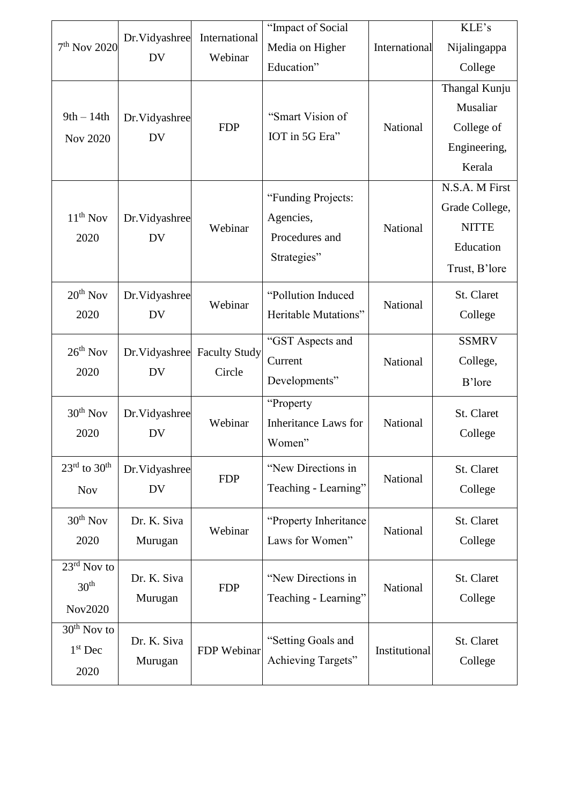|                                      | Dr. Vidyashree             | International        | "Impact of Social           |               | KLE's          |
|--------------------------------------|----------------------------|----------------------|-----------------------------|---------------|----------------|
| $7th$ Nov 2020                       |                            | Webinar              | Media on Higher             | International | Nijalingappa   |
|                                      | <b>DV</b>                  |                      | Education"                  |               | College        |
|                                      |                            |                      |                             |               | Thangal Kunju  |
| $9th - 14th$                         |                            |                      | "Smart Vision of            |               | Musaliar       |
|                                      | Dr.Vidyashree<br><b>DV</b> | <b>FDP</b>           | IOT in 5G Era"              | National      | College of     |
| Nov 2020                             |                            |                      |                             |               | Engineering,   |
|                                      |                            |                      |                             |               | Kerala         |
|                                      |                            |                      | "Funding Projects:          |               | N.S.A. M First |
| $11th$ Nov                           |                            |                      | Agencies,                   |               | Grade College, |
|                                      | Dr.Vidyashree              | Webinar              | Procedures and              | National      | <b>NITTE</b>   |
| 2020                                 | <b>DV</b>                  |                      |                             |               | Education      |
|                                      |                            |                      | Strategies"                 |               | Trust, B'lore  |
| $20th$ Nov                           | Dr.Vidyashree              |                      | "Pollution Induced          |               | St. Claret     |
| 2020                                 | <b>DV</b>                  | Webinar              | Heritable Mutations"        | National      | College        |
|                                      |                            |                      | "GST Aspects and            |               | <b>SSMRV</b>   |
| $26th$ Nov                           | Dr.Vidyashree              | <b>Faculty Study</b> | Current                     | National      | College,       |
| 2020                                 | <b>DV</b>                  | Circle               | Developments"               |               |                |
|                                      |                            |                      |                             |               | B'lore         |
| $30th$ Nov                           | Dr. Vidyashree             |                      | "Property                   |               | St. Claret     |
| 2020                                 | <b>DV</b>                  | Webinar              | <b>Inheritance Laws for</b> | National      | College        |
|                                      |                            |                      | Women"                      |               |                |
| $23^{\text{rd}}$ to $30^{\text{th}}$ | Dr.Vidyashree              | <b>FDP</b>           | "New Directions in          | National      | St. Claret     |
| <b>Nov</b>                           | <b>DV</b>                  |                      | Teaching - Learning"        |               | College        |
| $30th$ Nov                           | Dr. K. Siva                |                      | "Property Inheritance"      |               | St. Claret     |
| 2020                                 | Murugan                    | Webinar              | Laws for Women"             | National      | College        |
| $23^{\text{rd}}$ Nov to              |                            |                      |                             |               |                |
| 30 <sup>th</sup>                     | Dr. K. Siva                | <b>FDP</b>           | "New Directions in          | National      | St. Claret     |
|                                      | Murugan                    |                      | Teaching - Learning"        |               | College        |
| Nov2020                              |                            |                      |                             |               |                |
| $30th$ Nov to                        | Dr. K. Siva                |                      | "Setting Goals and          |               | St. Claret     |
| $1st$ Dec                            | Murugan                    | FDP Webinar          | Achieving Targets"          | Institutional | College        |
| 2020                                 |                            |                      |                             |               |                |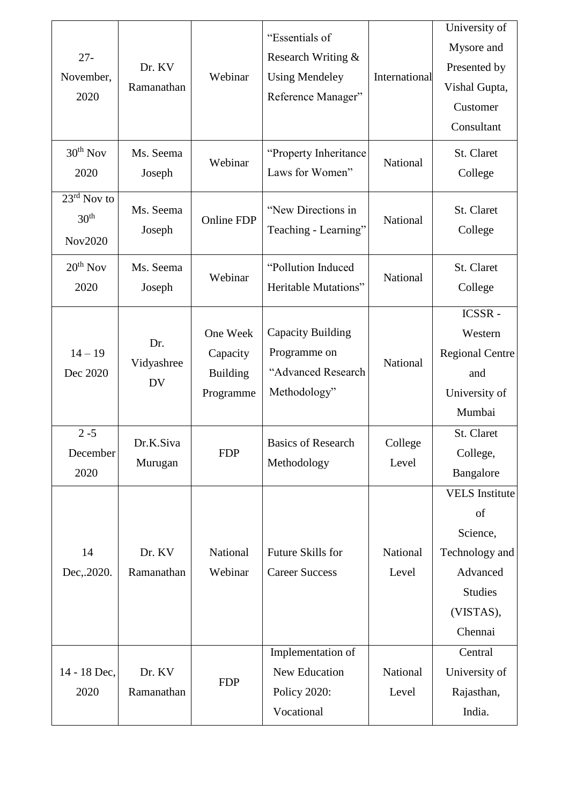| $27 -$<br>November,<br>2020                            | Dr. KV<br>Ramanathan           | Webinar                                              | "Essentials of<br>Research Writing &<br><b>Using Mendeley</b><br>Reference Manager" | International     | University of<br>Mysore and<br>Presented by<br>Vishal Gupta,<br>Customer<br>Consultant                          |
|--------------------------------------------------------|--------------------------------|------------------------------------------------------|-------------------------------------------------------------------------------------|-------------------|-----------------------------------------------------------------------------------------------------------------|
| $30th$ Nov<br>2020                                     | Ms. Seema<br>Joseph            | Webinar                                              | "Property Inheritance"<br>Laws for Women"                                           | National          | St. Claret<br>College                                                                                           |
| 23 <sup>rd</sup> Nov to<br>30 <sup>th</sup><br>Nov2020 | Ms. Seema<br>Joseph            | <b>Online FDP</b>                                    | "New Directions in<br>Teaching - Learning"                                          | National          | St. Claret<br>College                                                                                           |
| $20th$ Nov<br>2020                                     | Ms. Seema<br>Joseph            | Webinar                                              | "Pollution Induced<br>Heritable Mutations"                                          | National          | St. Claret<br>College                                                                                           |
| $14 - 19$<br>Dec 2020                                  | Dr.<br>Vidyashree<br><b>DV</b> | One Week<br>Capacity<br><b>Building</b><br>Programme | Capacity Building<br>Programme on<br>"Advanced Research<br>Methodology"             | National          | ICSSR-<br>Western<br><b>Regional Centre</b><br>and<br>University of<br>Mumbai                                   |
| $2 - 5$<br>December<br>2020                            | Dr.K.Siva<br>Murugan           | <b>FDP</b>                                           | <b>Basics of Research</b><br>Methodology                                            | College<br>Level  | St. Claret<br>College,<br>Bangalore                                                                             |
| 14<br>Dec, 2020.                                       | Dr. KV<br>Ramanathan           | National<br>Webinar                                  | Future Skills for<br><b>Career Success</b>                                          | National<br>Level | <b>VELS</b> Institute<br>of<br>Science,<br>Technology and<br>Advanced<br><b>Studies</b><br>(VISTAS),<br>Chennai |
| 14 - 18 Dec,<br>2020                                   | Dr. KV<br>Ramanathan           | <b>FDP</b>                                           | Implementation of<br>New Education<br><b>Policy 2020:</b><br>Vocational             | National<br>Level | Central<br>University of<br>Rajasthan,<br>India.                                                                |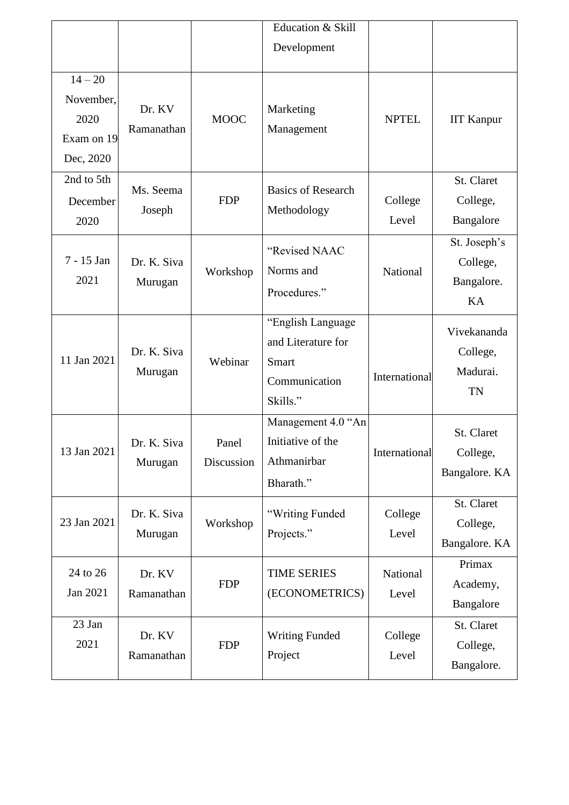|                                                           |                        |                     | Education & Skill<br>Development                                              |                   |                                              |
|-----------------------------------------------------------|------------------------|---------------------|-------------------------------------------------------------------------------|-------------------|----------------------------------------------|
| $14 - 20$<br>November,<br>2020<br>Exam on 19<br>Dec, 2020 | Dr. KV<br>Ramanathan   | <b>MOOC</b>         | Marketing<br>Management                                                       | <b>NPTEL</b>      | <b>IIT Kanpur</b>                            |
| 2nd to 5th<br>December<br>2020                            | Ms. Seema<br>Joseph    | <b>FDP</b>          | <b>Basics of Research</b><br>Methodology                                      | College<br>Level  | St. Claret<br>College,<br>Bangalore          |
| 7 - 15 Jan<br>2021                                        | Dr. K. Siva<br>Murugan | Workshop            | "Revised NAAC<br>Norms and<br>Procedures."                                    | National          | St. Joseph's<br>College,<br>Bangalore.<br>KA |
| 11 Jan 2021                                               | Dr. K. Siva<br>Murugan | Webinar             | "English Language<br>and Literature for<br>Smart<br>Communication<br>Skills." | International     | Vivekananda<br>College,<br>Madurai.<br>TN    |
| 13 Jan 2021                                               | Dr. K. Siva<br>Murugan | Panel<br>Discussion | Management 4.0 "An<br>Initiative of the<br>Athmanirbar<br>Bharath."           | International     | St. Claret<br>College,<br>Bangalore. KA      |
| 23 Jan 2021                                               | Dr. K. Siva<br>Murugan | Workshop            | "Writing Funded<br>Projects."                                                 | College<br>Level  | St. Claret<br>College,<br>Bangalore. KA      |
| 24 to 26<br>Jan 2021                                      | Dr. KV<br>Ramanathan   | <b>FDP</b>          | <b>TIME SERIES</b><br>(ECONOMETRICS)                                          | National<br>Level | Primax<br>Academy,<br>Bangalore              |
| 23 Jan<br>2021                                            | Dr. KV<br>Ramanathan   | <b>FDP</b>          | <b>Writing Funded</b><br>Project                                              | College<br>Level  | St. Claret<br>College,<br>Bangalore.         |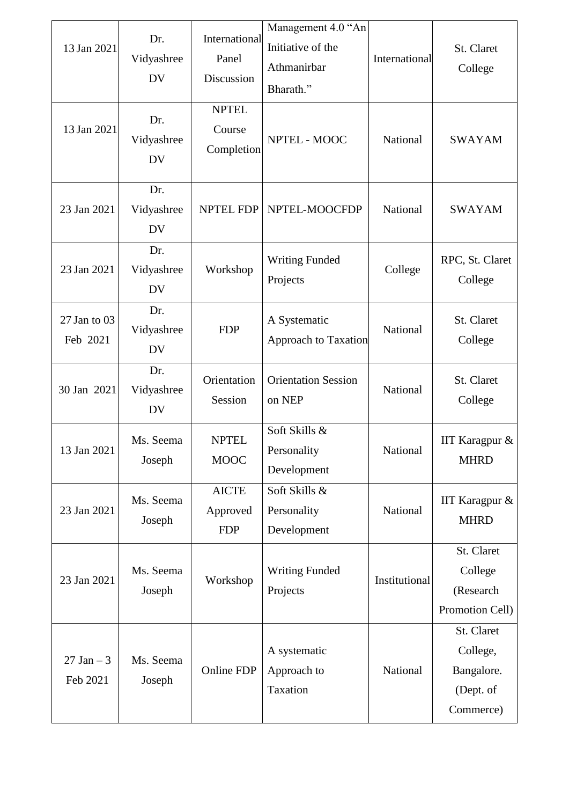| 13 Jan 2021<br>13 Jan 2021 | Dr.<br>Vidyashree<br><b>DV</b><br>Dr.<br>Vidyashree<br><b>DV</b> | International<br>Panel<br>Discussion<br><b>NPTEL</b><br>Course<br>Completion | Management 4.0 "An<br>Initiative of the<br>Athmanirbar<br>Bharath."<br>NPTEL - MOOC | International<br>National | St. Claret<br>College<br><b>SWAYAM</b>                         |
|----------------------------|------------------------------------------------------------------|------------------------------------------------------------------------------|-------------------------------------------------------------------------------------|---------------------------|----------------------------------------------------------------|
| 23 Jan 2021                | Dr.<br>Vidyashree<br><b>DV</b>                                   | <b>NPTEL FDP</b>                                                             | NPTEL-MOOCFDP                                                                       | National                  | <b>SWAYAM</b>                                                  |
| 23 Jan 2021                | Dr.<br>Vidyashree<br><b>DV</b>                                   | Workshop                                                                     | <b>Writing Funded</b><br>Projects                                                   | College                   | RPC, St. Claret<br>College                                     |
| 27 Jan to 03<br>Feb 2021   | Dr.<br>Vidyashree<br><b>DV</b>                                   | <b>FDP</b>                                                                   | A Systematic<br><b>Approach to Taxation</b>                                         | National                  | St. Claret<br>College                                          |
| 30 Jan 2021                | Dr.<br>Vidyashree<br><b>DV</b>                                   | Orientation<br>Session                                                       | <b>Orientation Session</b><br>on NEP                                                | National                  | St. Claret<br>College                                          |
| 13 Jan 2021                | Ms. Seema<br>Joseph                                              | <b>NPTEL</b><br><b>MOOC</b>                                                  | Soft Skills &<br>Personality<br>Development                                         | National                  | IIT Karagpur &<br><b>MHRD</b>                                  |
| 23 Jan 2021                | Ms. Seema<br>Joseph                                              | <b>AICTE</b><br>Approved<br><b>FDP</b>                                       | Soft Skills &<br>Personality<br>Development                                         | National                  | IIT Karagpur &<br><b>MHRD</b>                                  |
| 23 Jan 2021                | Ms. Seema<br>Joseph                                              | Workshop                                                                     | <b>Writing Funded</b><br>Projects                                                   | Institutional             | St. Claret<br>College<br>(Research<br>Promotion Cell)          |
| $27$ Jan $-3$<br>Feb 2021  | Ms. Seema<br>Joseph                                              | Online FDP                                                                   | A systematic<br>Approach to<br>Taxation                                             | National                  | St. Claret<br>College,<br>Bangalore.<br>(Dept. of<br>Commerce) |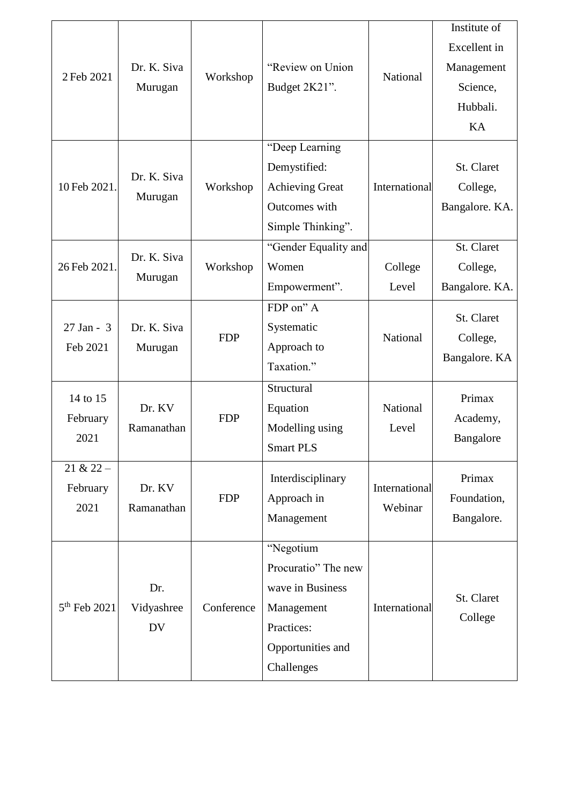| 2 Feb 2021                      | Dr. K. Siva<br>Murugan         | Workshop   | "Review on Union<br>Budget 2K21".                                                                                   | National                 | Institute of<br>Excellent in<br>Management<br>Science,<br>Hubbali. |
|---------------------------------|--------------------------------|------------|---------------------------------------------------------------------------------------------------------------------|--------------------------|--------------------------------------------------------------------|
| 10 Feb 2021                     | Dr. K. Siva<br>Murugan         | Workshop   | "Deep Learning<br>Demystified:<br><b>Achieving Great</b><br>Outcomes with<br>Simple Thinking".                      | International            | KA<br>St. Claret<br>College,<br>Bangalore. KA.                     |
| 26 Feb 2021                     | Dr. K. Siva<br>Murugan         | Workshop   | "Gender Equality and<br>Women<br>Empowerment".                                                                      | College<br>Level         | St. Claret<br>College,<br>Bangalore. KA.                           |
| $27$ Jan - 3<br>Feb 2021        | Dr. K. Siva<br>Murugan         | <b>FDP</b> | FDP on" A<br>Systematic<br>Approach to<br>Taxation."                                                                | National                 | St. Claret<br>College,<br>Bangalore. KA                            |
| 14 to 15<br>February<br>2021    | Dr. KV<br>Ramanathan           | <b>FDP</b> | Structural<br>Equation<br>Modelling using<br><b>Smart PLS</b>                                                       | National<br>Level        | Primax<br>Academy,<br>Bangalore                                    |
| $21 & 22 -$<br>February<br>2021 | Dr. KV<br>Ramanathan           | <b>FDP</b> | Interdisciplinary<br>Approach in<br>Management                                                                      | International<br>Webinar | Primax<br>Foundation,<br>Bangalore.                                |
| $5th$ Feb 2021                  | Dr.<br>Vidyashree<br><b>DV</b> | Conference | "Negotium<br>Procuratio" The new<br>wave in Business<br>Management<br>Practices:<br>Opportunities and<br>Challenges | International            | St. Claret<br>College                                              |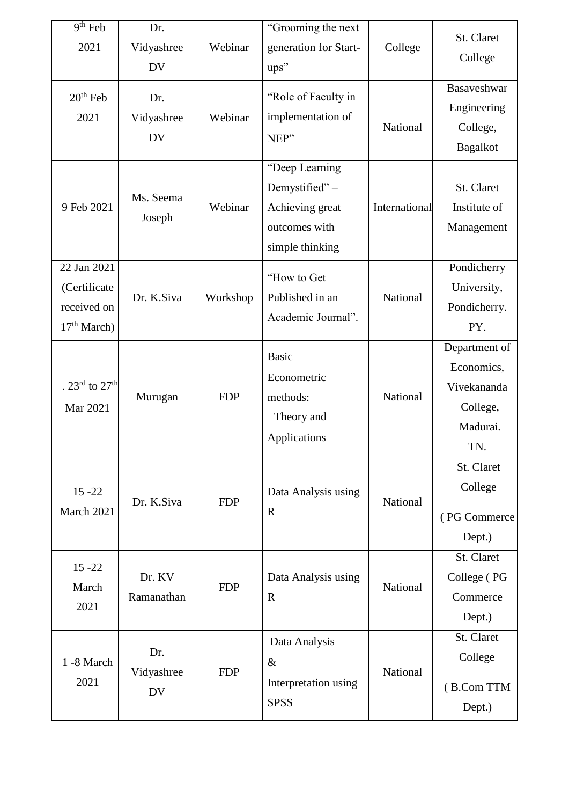| $\overline{9^{th}}$ Feb<br>2021                              | Dr.<br>Vidyashree<br><b>DV</b> | Webinar    | "Grooming the next<br>generation for Start-<br>ups"                                    | College       | St. Claret<br>College<br>Basaveshwar                                      |
|--------------------------------------------------------------|--------------------------------|------------|----------------------------------------------------------------------------------------|---------------|---------------------------------------------------------------------------|
| $20th$ Feb<br>2021                                           | Dr.<br>Vidyashree<br><b>DV</b> | Webinar    | "Role of Faculty in<br>implementation of<br>NEP"                                       | National      | Engineering<br>College,<br><b>Bagalkot</b>                                |
| 9 Feb 2021                                                   | Ms. Seema<br>Joseph            | Webinar    | "Deep Learning<br>Demystified"-<br>Achieving great<br>outcomes with<br>simple thinking | International | St. Claret<br>Institute of<br>Management                                  |
| 22 Jan 2021<br>(Certificate<br>received on<br>$17th March$ ) | Dr. K.Siva                     | Workshop   | "How to Get<br>Published in an<br>Academic Journal".                                   | National      | Pondicherry<br>University,<br>Pondicherry.<br>PY.                         |
| . 23 <sup>rd</sup> to 27 <sup>th</sup><br>Mar 2021           | Murugan                        | <b>FDP</b> | <b>Basic</b><br>Econometric<br>methods:<br>Theory and<br>Applications                  | National      | Department of<br>Economics,<br>Vivekananda<br>College,<br>Madurai.<br>TN. |
| $15 - 22$<br>March 2021                                      | Dr. K.Siva                     | <b>FDP</b> | Data Analysis using<br>$\mathbf R$                                                     | National      | St. Claret<br>College<br>(PG Commerce<br>Dept.)                           |
| $15 - 22$<br>March<br>2021                                   | Dr. KV<br>Ramanathan           | <b>FDP</b> | Data Analysis using<br>$\mathbf R$                                                     | National      | St. Claret<br>College (PG<br>Commerce<br>Dept.)                           |
| 1 -8 March<br>2021                                           | Dr.<br>Vidyashree<br><b>DV</b> | <b>FDP</b> | Data Analysis<br>$\&$<br>Interpretation using<br><b>SPSS</b>                           | National      | St. Claret<br>College<br>(B.Com TTM<br>Dept.)                             |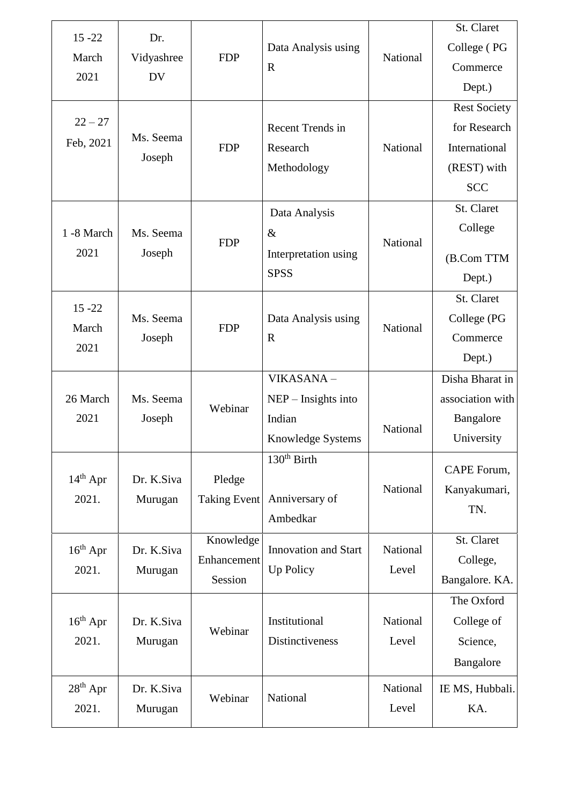| $15 - 22$     | Dr.        |                     |                             |          | St. Claret          |
|---------------|------------|---------------------|-----------------------------|----------|---------------------|
|               |            |                     | Data Analysis using         |          | College (PG         |
| March         | Vidyashree | <b>FDP</b>          | $\mathbf R$                 | National | Commerce            |
| 2021          | <b>DV</b>  |                     |                             |          | Dept.)              |
|               |            |                     |                             |          | <b>Rest Society</b> |
| $22 - 27$     |            |                     | Recent Trends in            |          | for Research        |
| Feb, 2021     | Ms. Seema  | <b>FDP</b>          | Research                    | National | International       |
|               | Joseph     |                     | Methodology                 |          | (REST) with         |
|               |            |                     |                             |          | <b>SCC</b>          |
|               |            |                     | Data Analysis               |          | St. Claret          |
| 1 -8 March    | Ms. Seema  |                     | $\&$                        |          | College             |
| 2021          | Joseph     | <b>FDP</b>          | Interpretation using        | National |                     |
|               |            |                     | <b>SPSS</b>                 |          | (B.Com TTM          |
|               |            |                     |                             |          | Dept.)              |
| $15 - 22$     |            |                     |                             |          | St. Claret          |
| March         | Ms. Seema  | <b>FDP</b>          | Data Analysis using         | National | College (PG         |
| 2021          | Joseph     |                     | $\mathbf R$                 |          | Commerce            |
|               |            |                     |                             |          | Dept.)              |
|               |            |                     | VIKASANA-                   |          | Disha Bharat in     |
| 26 March      | Ms. Seema  | Webinar             | $NEP$ – Insights into       |          | association with    |
| 2021          | Joseph     |                     | Indian                      | National | Bangalore           |
|               |            |                     | Knowledge Systems           |          | University          |
|               |            |                     | 130 <sup>th</sup> Birth     |          | CAPE Forum,         |
| $14th$ Apr    | Dr. K.Siva | Pledge              |                             | National | Kanyakumari,        |
| 2021.         | Murugan    | <b>Taking Event</b> | Anniversary of              |          | TN.                 |
|               |            |                     | Ambedkar                    |          |                     |
|               |            | Knowledge           |                             |          | St. Claret          |
| $16th$ Apr    | Dr. K.Siva | Enhancement         | <b>Innovation and Start</b> | National | College,            |
| 2021.         | Murugan    | Session             | Up Policy                   | Level    | Bangalore. KA.      |
|               |            |                     |                             |          | The Oxford          |
| $16^{th}$ Apr | Dr. K.Siva |                     | Institutional               | National | College of          |
| 2021.         | Murugan    | Webinar             | Distinctiveness             | Level    | Science,            |
|               |            |                     |                             |          | Bangalore           |
| $28th$ Apr    | Dr. K.Siva |                     |                             | National | IE MS, Hubbali.     |
| 2021.         | Murugan    | Webinar             | National                    | Level    | KA.                 |
|               |            |                     |                             |          |                     |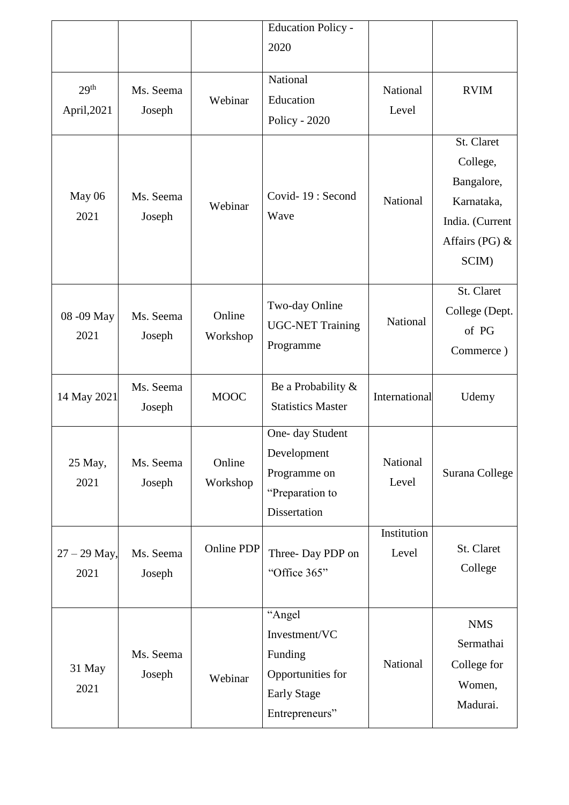|                                 |                     |                    | <b>Education Policy -</b>                                                                       |                      |                                                                                                    |
|---------------------------------|---------------------|--------------------|-------------------------------------------------------------------------------------------------|----------------------|----------------------------------------------------------------------------------------------------|
|                                 |                     |                    | 2020                                                                                            |                      |                                                                                                    |
| 29 <sup>th</sup><br>April, 2021 | Ms. Seema<br>Joseph | Webinar            | National<br>Education<br><b>Policy - 2020</b>                                                   | National<br>Level    | <b>RVIM</b>                                                                                        |
| May 06<br>2021                  | Ms. Seema<br>Joseph | Webinar            | Covid-19: Second<br>Wave                                                                        | National             | St. Claret<br>College,<br>Bangalore,<br>Karnataka,<br>India. (Current<br>Affairs (PG) $&$<br>SCIM) |
| 08 - 09 May<br>2021             | Ms. Seema<br>Joseph | Online<br>Workshop | Two-day Online<br><b>UGC-NET Training</b><br>Programme                                          | National             | St. Claret<br>College (Dept.<br>of PG<br>Commerce)                                                 |
| 14 May 2021                     | Ms. Seema<br>Joseph | <b>MOOC</b>        | Be a Probability &<br><b>Statistics Master</b>                                                  | International        | Udemy                                                                                              |
| 25 May,<br>2021                 | Ms. Seema<br>Joseph | Online<br>Workshop | One- day Student<br>Development<br>Programme on<br>"Preparation to<br>Dissertation              | National<br>Level    | Surana College                                                                                     |
| $27 - 29$ May,<br>2021          | Ms. Seema<br>Joseph | Online PDP         | Three-Day PDP on<br>"Office 365"                                                                | Institution<br>Level | St. Claret<br>College                                                                              |
| 31 May<br>2021                  | Ms. Seema<br>Joseph | Webinar            | "Angel<br>Investment/VC<br>Funding<br>Opportunities for<br><b>Early Stage</b><br>Entrepreneurs" | National             | <b>NMS</b><br>Sermathai<br>College for<br>Women,<br>Madurai.                                       |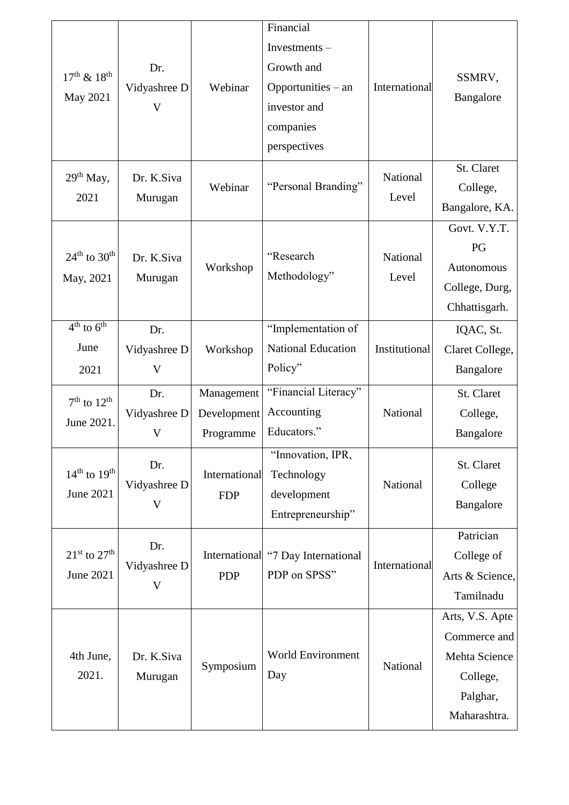| $17^{th}$ & $18^{th}$<br>May 2021    | Dr.<br>Vidyashree D<br>V | Webinar                                | Financial<br>Investments-<br>Growth and<br>Opportunities – an<br>investor and<br>companies<br>perspectives | International     | SSMRV,<br>Bangalore<br>St. Claret                                                        |
|--------------------------------------|--------------------------|----------------------------------------|------------------------------------------------------------------------------------------------------------|-------------------|------------------------------------------------------------------------------------------|
| 29 <sup>th</sup> May,<br>2021        | Dr. K.Siva<br>Murugan    | Webinar                                | "Personal Branding"                                                                                        | National<br>Level | College,<br>Bangalore, KA.                                                               |
| $24th$ to $30th$<br>May, 2021        | Dr. K.Siva<br>Murugan    | Workshop                               | "Research<br>Methodology"                                                                                  | National<br>Level | Govt. V.Y.T.<br>PG<br>Autonomous<br>College, Durg,<br>Chhattisgarh.                      |
| $4th$ to $6th$<br>June<br>2021       | Dr.<br>Vidyashree D<br>V | Workshop                               | "Implementation of<br><b>National Education</b><br>Policy"                                                 | Institutional     | IQAC, St.<br>Claret College,<br>Bangalore                                                |
| $7th$ to $12th$<br>June 2021.        | Dr.<br>Vidyashree D<br>V | Management<br>Development<br>Programme | "Financial Literacy"<br>Accounting<br>Educators."                                                          | National          | St. Claret<br>College,<br>Bangalore                                                      |
| $14th$ to $19th$<br><b>June 2021</b> | Dr.<br>Vidyashree D<br>V | International<br><b>FDP</b>            | "Innovation, IPR,<br>Technology<br>development<br>Entrepreneurship"                                        | National          | St. Claret<br>College<br>Bangalore                                                       |
| $21st$ to $27th$<br><b>June 2021</b> | Dr.<br>Vidyashree D<br>V | <b>PDP</b>                             | International "7 Day International<br>PDP on SPSS"                                                         | International     | Patrician<br>College of<br>Arts & Science,<br>Tamilnadu                                  |
| 4th June,<br>2021.                   | Dr. K.Siva<br>Murugan    | Symposium                              | <b>World Environment</b><br>Day                                                                            | National          | Arts, V.S. Apte<br>Commerce and<br>Mehta Science<br>College,<br>Palghar,<br>Maharashtra. |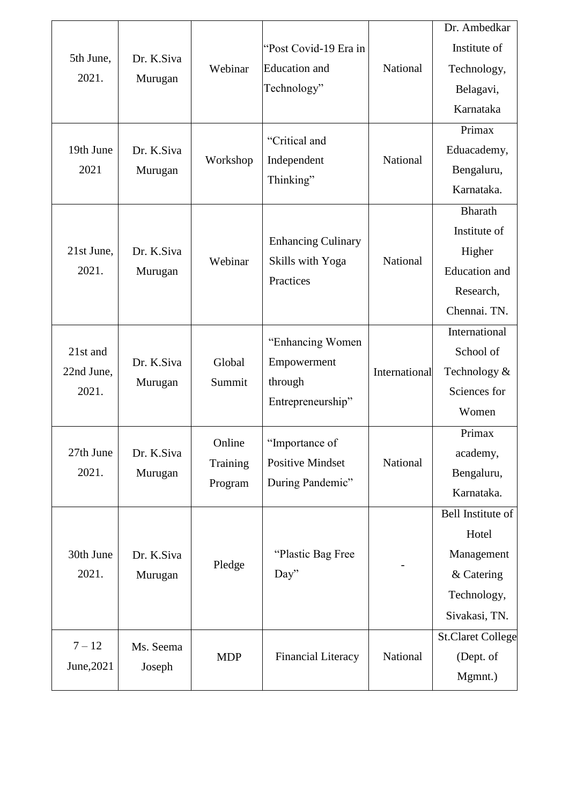|                    |                       |                     |                                                              |               | Dr. Ambedkar             |
|--------------------|-----------------------|---------------------|--------------------------------------------------------------|---------------|--------------------------|
| 5th June,<br>2021. | Dr. K.Siva<br>Murugan | Webinar             | "Post Covid-19 Era in<br><b>Education</b> and<br>Technology" | National      | Institute of             |
|                    |                       |                     |                                                              |               | Technology,              |
|                    |                       |                     |                                                              |               | Belagavi,                |
|                    |                       |                     |                                                              |               | Karnataka                |
|                    |                       | Workshop            | "Critical and                                                |               | Primax                   |
| 19th June          | Dr. K.Siva            |                     | Independent                                                  | National      | Eduacademy,              |
| 2021               | Murugan               |                     |                                                              |               | Bengaluru,               |
|                    |                       |                     | Thinking"                                                    |               | Karnataka.               |
|                    |                       |                     |                                                              |               | <b>Bharath</b>           |
|                    |                       |                     |                                                              |               | Institute of             |
| 21st June,         | Dr. K.Siva            | Webinar             | <b>Enhancing Culinary</b><br>Skills with Yoga                | National      | Higher                   |
| 2021.              | Murugan               |                     | Practices                                                    |               | <b>Education</b> and     |
|                    |                       |                     |                                                              |               | Research,                |
|                    |                       |                     |                                                              |               | Chennai. TN.             |
|                    | Dr. K.Siva<br>Murugan | Global<br>Summit    | "Enhancing Women"<br>Empowerment                             | International | International            |
| 21st and           |                       |                     |                                                              |               | School of                |
| 22nd June,         |                       |                     | through                                                      |               | Technology &             |
| 2021.              |                       |                     | Entrepreneurship"                                            |               | Sciences for             |
|                    |                       |                     |                                                              |               | Women                    |
|                    | Dr. K.Siva<br>Murugan | Online              | "Importance of                                               | National      | Primax                   |
| 27th June          |                       | Training<br>Program | <b>Positive Mindset</b><br>During Pandemic"                  |               | academy,                 |
| 2021.              |                       |                     |                                                              |               | Bengaluru,               |
|                    |                       |                     |                                                              |               | Karnataka.               |
|                    | Dr. K.Siva<br>Murugan | Pledge              |                                                              |               | Bell Institute of        |
|                    |                       |                     |                                                              |               | Hotel                    |
| 30th June<br>2021. |                       |                     | "Plastic Bag Free                                            |               | Management               |
|                    |                       |                     | Day"                                                         |               | & Catering               |
|                    |                       |                     |                                                              |               | Technology,              |
|                    |                       |                     |                                                              |               | Sivakasi, TN.            |
| $7 - 12$           | Ms. Seema             | <b>MDP</b>          | <b>Financial Literacy</b>                                    | National      | <b>St.Claret College</b> |
| June, 2021         | Joseph                |                     |                                                              |               | (Dept. of                |
|                    |                       |                     |                                                              |               | Mgmnt.)                  |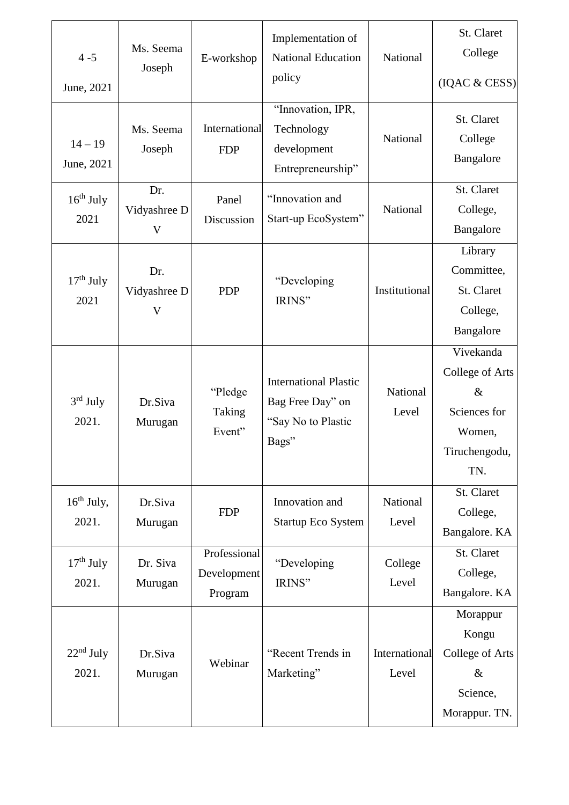| $4 - 5$<br>June, 2021   | Ms. Seema<br>Joseph                            | E-workshop                             | Implementation of<br><b>National Education</b><br>policy                        | National               | St. Claret<br>College<br>(IQAC & CESS)                                                        |
|-------------------------|------------------------------------------------|----------------------------------------|---------------------------------------------------------------------------------|------------------------|-----------------------------------------------------------------------------------------------|
| $14 - 19$<br>June, 2021 | Ms. Seema<br>Joseph                            | International<br><b>FDP</b>            | "Innovation, IPR,<br>Technology<br>development<br>Entrepreneurship"             | National               | St. Claret<br>College<br>Bangalore                                                            |
| $16th$ July<br>2021     | Dr.<br>Vidyashree D<br>$\mathbf{V}$            | Panel<br>Discussion                    | "Innovation and<br>Start-up EcoSystem"                                          | National               | St. Claret<br>College,<br>Bangalore                                                           |
| $17th$ July<br>2021     | Dr.<br>Vidyashree D<br>$\overline{\mathsf{V}}$ | <b>PDP</b>                             | "Developing<br>IRINS"                                                           | Institutional          | Library<br>Committee,<br>St. Claret<br>College,<br>Bangalore                                  |
| $3rd$ July<br>2021.     | Dr.Siva<br>Murugan                             | "Pledge"<br>Taking<br>Event"           | <b>International Plastic</b><br>Bag Free Day" on<br>"Say No to Plastic<br>Bags" | National<br>Level      | Vivekanda<br><b>College of Arts</b><br>$\&$<br>Sciences for<br>Women,<br>Tiruchengodu,<br>TN. |
| $16th$ July,<br>2021.   | Dr.Siva<br>Murugan                             | <b>FDP</b>                             | Innovation and<br><b>Startup Eco System</b>                                     | National<br>Level      | St. Claret<br>College,<br>Bangalore. KA                                                       |
| $17th$ July<br>2021.    | Dr. Siva<br>Murugan                            | Professional<br>Development<br>Program | "Developing<br>IRINS"                                                           | College<br>Level       | St. Claret<br>College,<br>Bangalore. KA                                                       |
| $22nd$ July<br>2021.    | Dr.Siva<br>Murugan                             | Webinar                                | "Recent Trends in<br>Marketing"                                                 | International<br>Level | Morappur<br>Kongu<br>College of Arts<br>$\&$<br>Science,<br>Morappur. TN.                     |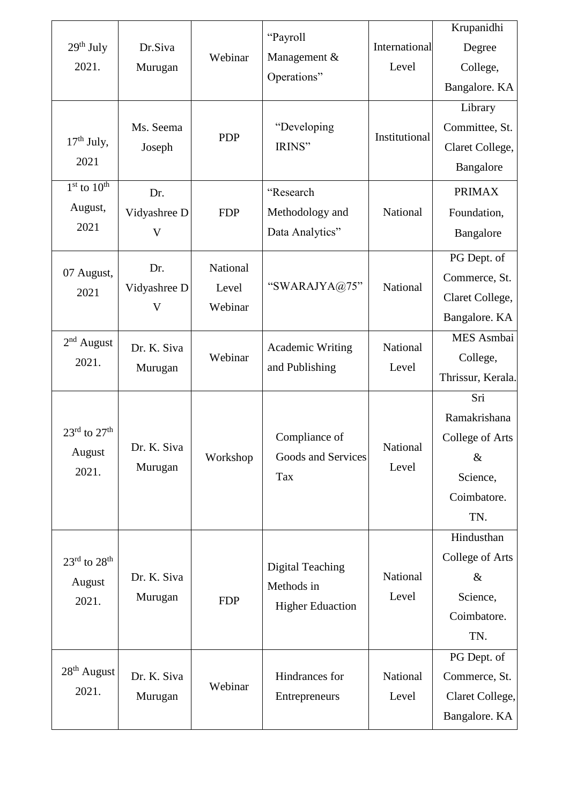| 29 <sup>th</sup> July<br>2021.       | Dr.Siva<br>Murugan     | Webinar          | "Payroll<br>Management &                   | International<br>Level | Krupanidhi        |
|--------------------------------------|------------------------|------------------|--------------------------------------------|------------------------|-------------------|
|                                      |                        |                  |                                            |                        | Degree            |
|                                      |                        |                  |                                            |                        | College,          |
|                                      |                        |                  | Operations"                                |                        | Bangalore. KA     |
|                                      |                        |                  |                                            |                        | Library           |
|                                      | Ms. Seema              | <b>PDP</b>       | "Developing                                | Institutional          | Committee, St.    |
| $17th$ July,                         | Joseph                 |                  | IRINS"                                     |                        | Claret College,   |
| 2021                                 |                        |                  |                                            |                        | Bangalore         |
| $1st$ to $10th$                      | Dr.                    |                  | "Research                                  |                        | <b>PRIMAX</b>     |
| August,                              | Vidyashree D           | <b>FDP</b>       | Methodology and                            | National               | Foundation,       |
| 2021                                 | V                      |                  | Data Analytics"                            |                        | Bangalore         |
|                                      |                        |                  |                                            |                        | PG Dept. of       |
| 07 August,                           | Dr.                    | National         | "SWARAJYA@75"                              |                        | Commerce, St.     |
| 2021                                 | Vidyashree D           | Level<br>Webinar |                                            | National               | Claret College,   |
|                                      | V                      |                  |                                            |                        | Bangalore. KA     |
| $2nd$ August                         | Dr. K. Siva<br>Murugan | Webinar          | <b>Academic Writing</b><br>and Publishing  | National<br>Level      | MES Asmbai        |
| 2021.                                |                        |                  |                                            |                        | College,          |
|                                      |                        |                  |                                            |                        | Thrissur, Kerala. |
|                                      |                        |                  |                                            |                        | Sri               |
|                                      | Dr. K. Siva<br>Murugan | Workshop         | Compliance of<br>Goods and Services<br>Tax | National<br>Level      | Ramakrishana      |
| $23^{\text{rd}}$ to $27^{\text{th}}$ |                        |                  |                                            |                        | College of Arts   |
| August                               |                        |                  |                                            |                        | $\&$              |
| 2021.                                |                        |                  |                                            |                        | Science,          |
|                                      |                        |                  |                                            |                        | Coimbatore.       |
|                                      |                        |                  |                                            |                        | TN.               |
|                                      |                        |                  |                                            |                        | Hindusthan        |
| $23^{\text{rd}}$ to $28^{\text{th}}$ |                        |                  | <b>Digital Teaching</b>                    | National<br>Level      | College of Arts   |
| August                               | Dr. K. Siva            |                  | Methods in                                 |                        | $\&$              |
| 2021.                                | Murugan                | <b>FDP</b>       | <b>Higher Eduaction</b>                    |                        | Science,          |
|                                      |                        |                  |                                            |                        | Coimbatore.       |
|                                      |                        |                  |                                            |                        | TN.               |
|                                      |                        |                  |                                            |                        | PG Dept. of       |
| $28th$ August                        | Dr. K. Siva<br>Murugan | Webinar          | Hindrances for<br>Entrepreneurs            | National<br>Level      | Commerce, St.     |
| 2021.                                |                        |                  |                                            |                        | Claret College,   |
|                                      |                        |                  |                                            |                        | Bangalore. KA     |